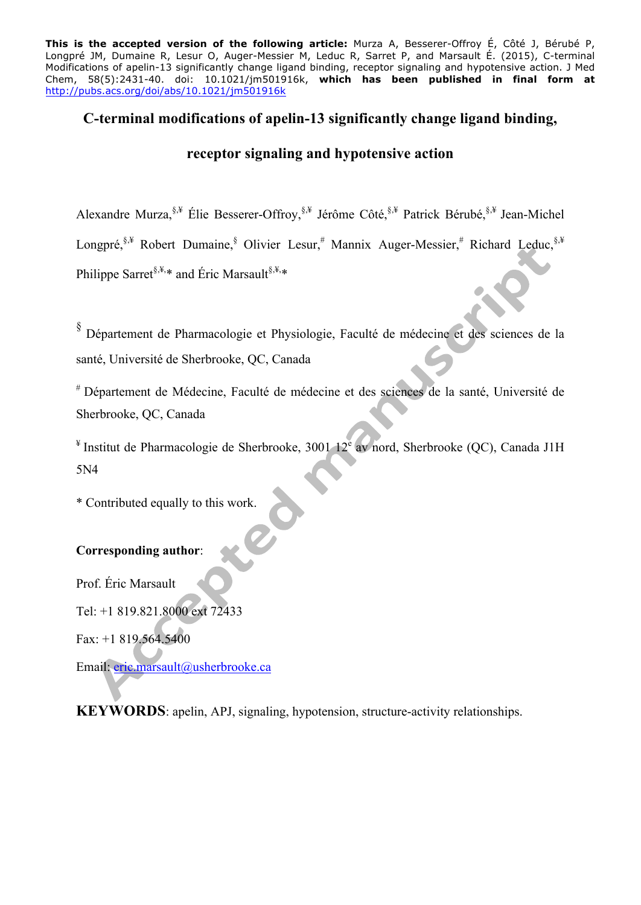**This is the accepted version of the following article:** Murza A, Besserer-Offroy É, Côté J, Bérubé P, Longpré JM, Dumaine R, Lesur O, Auger-Messier M, Leduc R, Sarret P, and Marsault É. (2015), C-terminal Modifications of apelin-13 significantly change ligand binding, receptor signaling and hypotensive action. J Med Chem, 58(5):2431-40. doi: 10.1021/jm501916k, **which has been published in final form at**  http://pubs.acs.org/doi/abs/10.1021/jm501916k

# **C-terminal modifications of apelin-13 significantly change ligand binding,**

# **receptor signaling and hypotensive action**

Alexandre Murza,§,¥ Élie Besserer-Offroy,§,¥ Jérôme Côté,§,¥ Patrick Bérubé,§,¥ Jean-Michel Longpré,<sup>§,¥</sup> Robert Dumaine, <sup>§</sup> Olivier Lesur,<sup>#</sup> Mannix Auger-Messier,<sup>#</sup> Richard Leduc, <sup>§,¥</sup>

Philippe Sarret<sup>§, $\frac{1}{2}$ </sup>,\* and Éric Marsault<sup>§, $\frac{1}{2}$ </sup>,\*

§ Département de Pharmacologie et Physiologie, Faculté de médecine et des sciences de la santé, Université de Sherbrooke, QC, Canada

# Département de Médecine, Faculté de médecine et des sciences de la santé, Université de Sherbrooke, QC, Canada

<sup>¥</sup> Institut de Pharmacologie de Sherbrooke, 3001 12<sup>e</sup> av nord, Sherbrooke (QC), Canada J1H 5N4

\* Contributed equally to this work.

# **Corresponding author**:

Prof. Éric Marsault

Tel: +1 819.821.8000 ext 72433

Fax: +1 819.564.5400

Email: eric.marsault@usherbrooke.ca

**KEYWORDS**: apelin, APJ, signaling, hypotension, structure-activity relationships.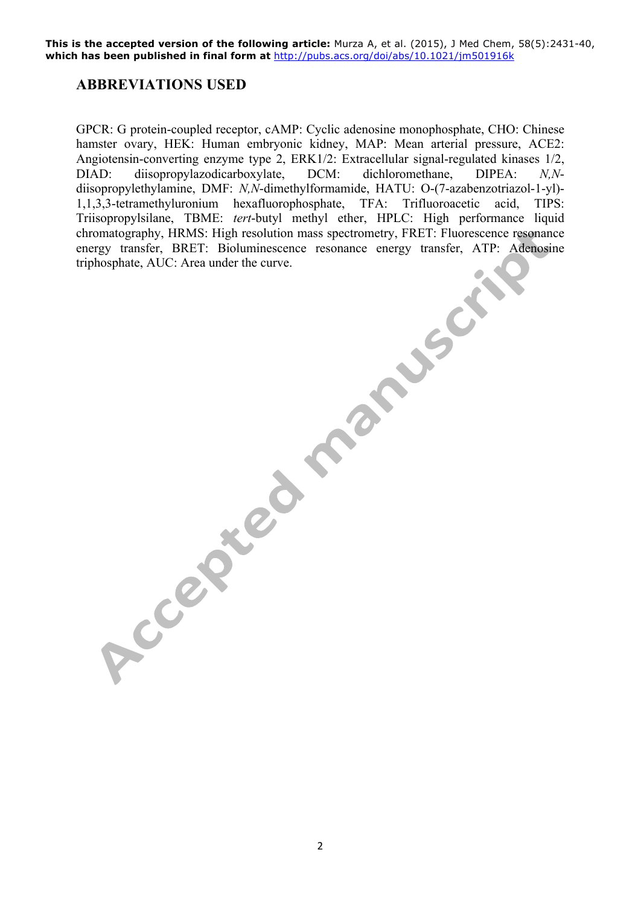# **ABBREVIATIONS USED**

GPCR: G protein-coupled receptor, cAMP: Cyclic adenosine monophosphate, CHO: Chinese hamster ovary, HEK: Human embryonic kidney, MAP: Mean arterial pressure, ACE2: Angiotensin-converting enzyme type 2, ERK1/2: Extracellular signal-regulated kinases 1/2, DIAD: diisopropylazodicarboxylate, DCM: dichloromethane, DIPEA: *N,N*diisopropylethylamine, DMF: *N,N*-dimethylformamide, HATU: O-(7-azabenzotriazol-1-yl)- 1,1,3,3-tetramethyluronium hexafluorophosphate, TFA: Trifluoroacetic acid, TIPS: Triisopropylsilane, TBME: *tert*-butyl methyl ether, HPLC: High performance liquid chromatography, HRMS: High resolution mass spectrometry, FRET: Fluorescence resonance energy transfer, BRET: Bioluminescence resonance energy transfer, ATP: Adenosine The Community FRET: Fluorescence Community FRET: Fluorescence Community FRET: Fluorescence Community FRET: Fluorescence Community FRET: Fluorescence Community FRET: Fluorescence Community FRET: Fluorescence Community FRET: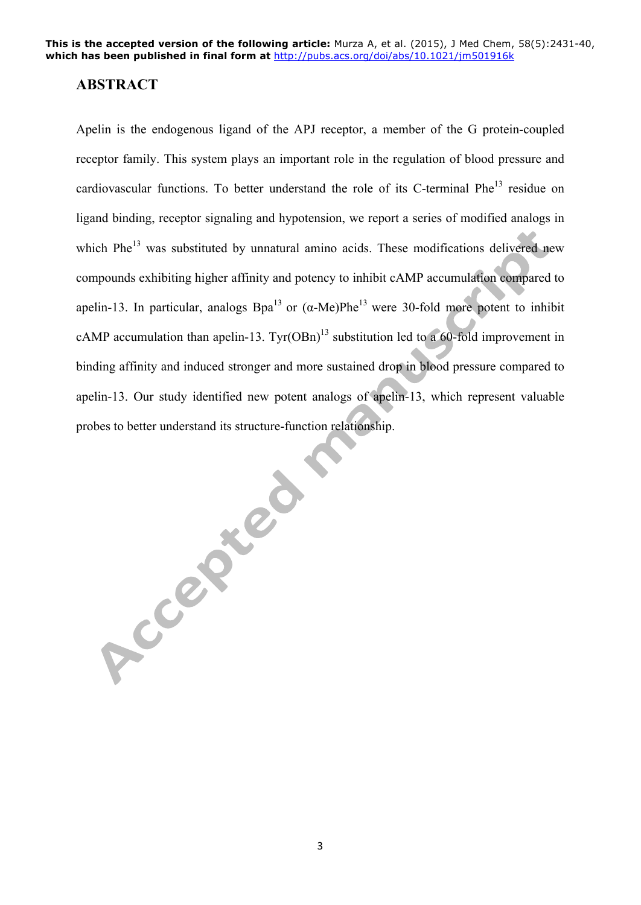## **ABSTRACT**

Apelin is the endogenous ligand of the APJ receptor, a member of the G protein-coupled receptor family. This system plays an important role in the regulation of blood pressure and cardiovascular functions. To better understand the role of its C-terminal  $Phe^{13}$  residue on ligand binding, receptor signaling and hypotension, we report a series of modified analogs in which  $Phe<sup>13</sup>$  was substituted by unnatural amino acids. These modifications delivered new compounds exhibiting higher affinity and potency to inhibit cAMP accumulation compared to apelin-13. In particular, analogs  $Bpa<sup>13</sup>$  or ( $\alpha$ -Me)Phe<sup>13</sup> were 30-fold more potent to inhibit cAMP accumulation than apelin-13.  $Tvr(OBn)^{13}$  substitution led to a 60-fold improvement in binding affinity and induced stronger and more sustained drop in blood pressure compared to apelin-13. Our study identified new potent analogs of apelin-13, which represent valuable

probes to better understand its structure-function relationship.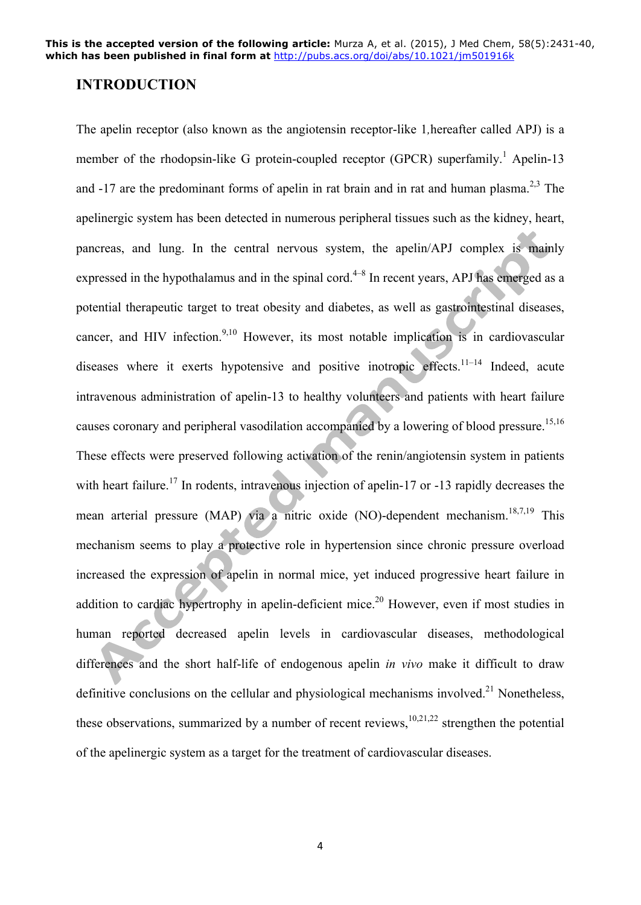## **INTRODUCTION**

The apelin receptor (also known as the angiotensin receptor-like 1*,*hereafter called APJ) is a member of the rhodopsin-like G protein-coupled receptor (GPCR) superfamily.<sup>1</sup> Apelin-13 and  $-17$  are the predominant forms of apelin in rat brain and in rat and human plasma.<sup>2,3</sup> The apelinergic system has been detected in numerous peripheral tissues such as the kidney, heart, pancreas, and lung. In the central nervous system, the apelin/APJ complex is mainly expressed in the hypothalamus and in the spinal cord.<sup> $4-8$ </sup> In recent years, APJ has emerged as a potential therapeutic target to treat obesity and diabetes, as well as gastrointestinal diseases, cancer, and HIV infection.<sup>9,10</sup> However, its most notable implication is in cardiovascular diseases where it exerts hypotensive and positive inotropic effects.<sup>11–14</sup> Indeed, acute intravenous administration of apelin-13 to healthy volunteers and patients with heart failure causes coronary and peripheral vasodilation accompanied by a lowering of blood pressure.<sup>15,16</sup> These effects were preserved following activation of the renin/angiotensin system in patients with heart failure.<sup>17</sup> In rodents, intravenous injection of apelin-17 or -13 rapidly decreases the mean arterial pressure (MAP) via a nitric oxide (NO)-dependent mechanism.<sup>18,7,19</sup> This mechanism seems to play a protective role in hypertension since chronic pressure overload increased the expression of apelin in normal mice, yet induced progressive heart failure in addition to cardiac hypertrophy in apelin-deficient mice.<sup>20</sup> However, even if most studies in human reported decreased apelin levels in cardiovascular diseases, methodological differences and the short half-life of endogenous apelin *in vivo* make it difficult to draw definitive conclusions on the cellular and physiological mechanisms involved.<sup>21</sup> Nonetheless, these observations, summarized by a number of recent reviews,  $\frac{10,21,22}{10,21,22}$  strengthen the potential of the apelinergic system as a target for the treatment of cardiovascular diseases.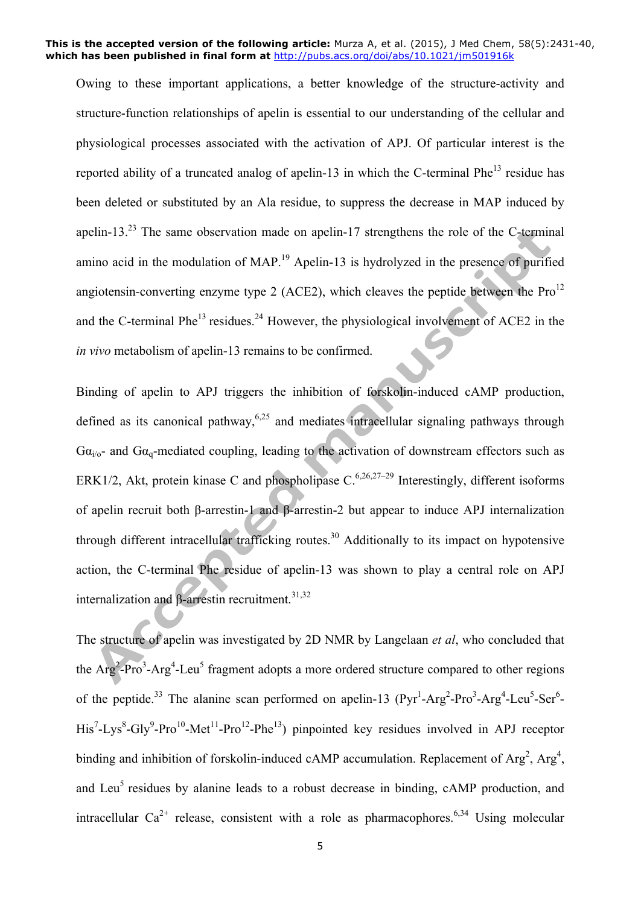Owing to these important applications, a better knowledge of the structure-activity and structure-function relationships of apelin is essential to our understanding of the cellular and physiological processes associated with the activation of APJ. Of particular interest is the reported ability of a truncated analog of apelin-13 in which the C-terminal  $Phe^{13}$  residue has been deleted or substituted by an Ala residue, to suppress the decrease in MAP induced by apelin-13.<sup>23</sup> The same observation made on apelin-17 strengthens the role of the C-terminal amino acid in the modulation of MAP.<sup>19</sup> Apelin-13 is hydrolyzed in the presence of purified angiotensin-converting enzyme type 2 (ACE2), which cleaves the peptide between the  $Pro<sup>12</sup>$ and the C-terminal Phe<sup>13</sup> residues.<sup>24</sup> However, the physiological involvement of ACE2 in the *in vivo* metabolism of apelin-13 remains to be confirmed.

Binding of apelin to APJ triggers the inhibition of forskolin-induced cAMP production, defined as its canonical pathway,  $6.25$  and mediates intracellular signaling pathways through  $Ga<sub>i/o</sub>$ - and  $Ga<sub>o</sub>$ -mediated coupling, leading to the activation of downstream effectors such as ERK1/2, Akt, protein kinase C and phospholipase  $C_{0.6,26,27-29}$  Interestingly, different isoforms of apelin recruit both β-arrestin-1 and β-arrestin-2 but appear to induce APJ internalization through different intracellular trafficking routes. <sup>30</sup> Additionally to its impact on hypotensive action, the C-terminal Phe residue of apelin-13 was shown to play a central role on APJ internalization and  $\beta$ -arrestin recruitment.<sup>31,32</sup>

The structure of apelin was investigated by 2D NMR by Langelaan *et al*, who concluded that the  $Arg<sup>2</sup> - Pro<sup>3</sup> - Arg<sup>4</sup> - Leu<sup>5</sup>$  fragment adopts a more ordered structure compared to other regions of the peptide.<sup>33</sup> The alanine scan performed on apelin-13 ( $Pyr<sup>1</sup>-Arg<sup>2</sup>-Pro<sup>3</sup>-Arg<sup>4</sup>-Leu<sup>5</sup>-Ser<sup>6</sup> His^7$ -Lys<sup>8</sup>-Gly<sup>9</sup>-Pro<sup>10</sup>-Met<sup>11</sup>-Pro<sup>12</sup>-Phe<sup>13</sup>) pinpointed key residues involved in APJ receptor binding and inhibition of forskolin-induced cAMP accumulation. Replacement of Arg<sup>2</sup>, Arg<sup>4</sup>, and Leu<sup>5</sup> residues by alanine leads to a robust decrease in binding, cAMP production, and intracellular  $Ca^{2+}$  release, consistent with a role as pharmacophores.<sup>6,34</sup> Using molecular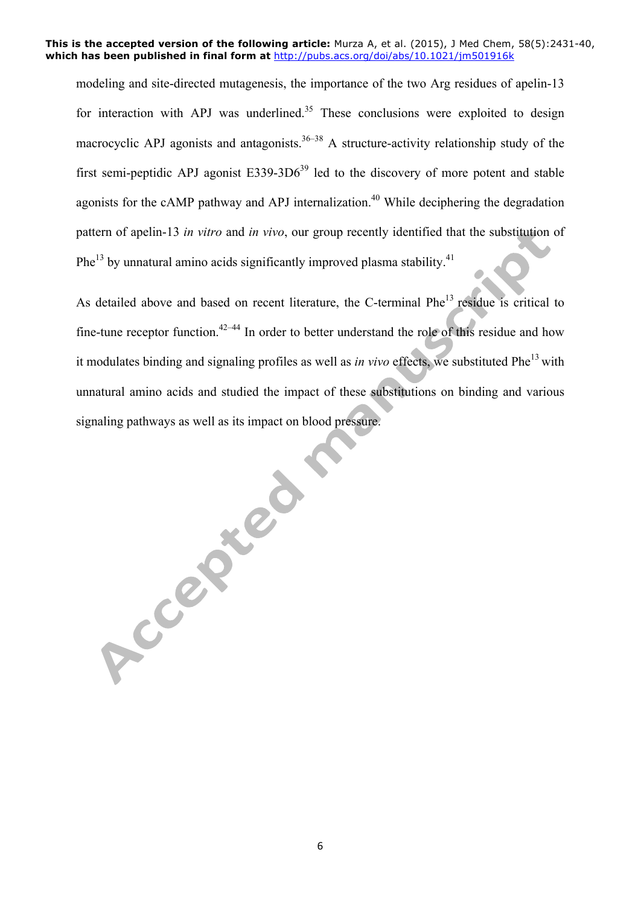modeling and site-directed mutagenesis, the importance of the two Arg residues of apelin-13 for interaction with APJ was underlined.<sup>35</sup> These conclusions were exploited to design macrocyclic APJ agonists and antagonists.<sup>36–38</sup> A structure-activity relationship study of the first semi-peptidic APJ agonist  $E339-3D6^{39}$  led to the discovery of more potent and stable agonists for the cAMP pathway and APJ internalization.<sup>40</sup> While deciphering the degradation pattern of apelin-13 *in vitro* and *in vivo*, our group recently identified that the substitution of Phe $^{13}$  by unnatural amino acids significantly improved plasma stability.<sup>41</sup>

As detailed above and based on recent literature, the C-terminal Phe<sup>13</sup> residue is critical to fine-tune receptor function.<sup>42–44</sup> In order to better understand the role of this residue and how it modulates binding and signaling profiles as well as *in vivo* effects, we substituted Phe13 with unnatural amino acids and studied the impact of these substitutions on binding and various

signaling pathways as well as its impact on blood pressure.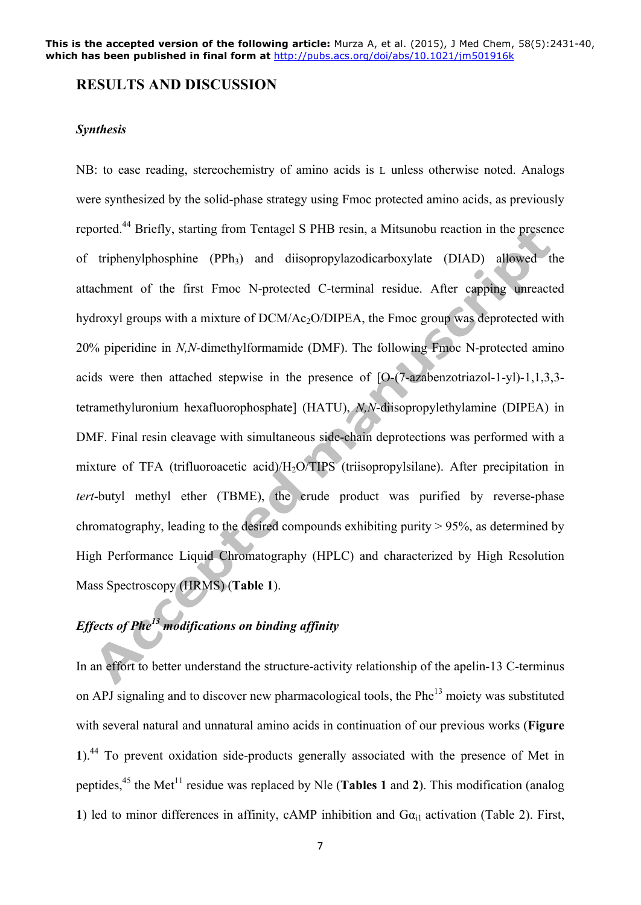### **RESULTS AND DISCUSSION**

#### *Synthesis*

NB: to ease reading, stereochemistry of amino acids is L unless otherwise noted. Analogs were synthesized by the solid-phase strategy using Fmoc protected amino acids, as previously reported.<sup>44</sup> Briefly, starting from Tentagel S PHB resin, a Mitsunobu reaction in the presence of triphenylphosphine (PPh<sub>3</sub>) and diisopropylazodicarboxylate (DIAD) allowed the attachment of the first Fmoc N-protected C-terminal residue. After capping unreacted hydroxyl groups with a mixture of DCM/Ac<sub>2</sub>O/DIPEA, the Fmoc group was deprotected with 20% piperidine in *N,N*-dimethylformamide (DMF). The following Fmoc N-protected amino acids were then attached stepwise in the presence of [O-(7-azabenzotriazol-1-yl)-1,1,3,3 tetramethyluronium hexafluorophosphate] (HATU), *N,N*-diisopropylethylamine (DIPEA) in DMF. Final resin cleavage with simultaneous side-chain deprotections was performed with a mixture of TFA (trifluoroacetic acid)/H2O/TIPS (triisopropylsilane). After precipitation in *tert*-butyl methyl ether (TBME), the crude product was purified by reverse-phase chromatography, leading to the desired compounds exhibiting purity > 95%, as determined by High Performance Liquid Chromatography (HPLC) and characterized by High Resolution Mass Spectroscopy (HRMS) (**Table 1**).

# *Effects of Phe<sup>13</sup> modifications on binding affinity*

In an effort to better understand the structure-activity relationship of the apelin-13 C-terminus on APJ signaling and to discover new pharmacological tools, the Phe $^{13}$  moiety was substituted with several natural and unnatural amino acids in continuation of our previous works (**Figure 1**). <sup>44</sup> To prevent oxidation side-products generally associated with the presence of Met in peptides,<sup>45</sup> the Met<sup>11</sup> residue was replaced by Nle (**Tables 1** and **2**). This modification (analog 1) led to minor differences in affinity, cAMP inhibition and  $Ga_{i1}$  activation (Table 2). First,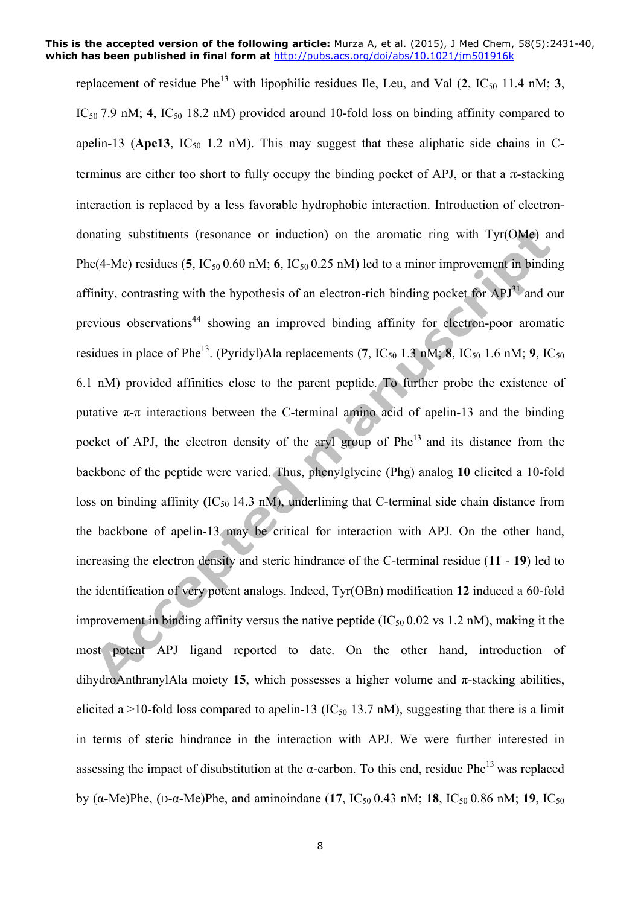replacement of residue Phe<sup>13</sup> with lipophilic residues Ile, Leu, and Val  $(2, IC_{50} 11.4 \text{ nM}; 3,$ IC<sub>50</sub> 7.9 nM; **4**, IC<sub>50</sub> 18.2 nM) provided around 10-fold loss on binding affinity compared to apelin-13 (Ape13,  $IC_{50}$  1.2 nM). This may suggest that these aliphatic side chains in Cterminus are either too short to fully occupy the binding pocket of APJ, or that a  $\pi$ -stacking interaction is replaced by a less favorable hydrophobic interaction. Introduction of electrondonating substituents (resonance or induction) on the aromatic ring with Tyr(OMe) and Phe(4-Me) residues  $(5, IC_{50} 0.60 \text{ nM}; 6, IC_{50} 0.25 \text{ nM})$  led to a minor improvement in binding affinity, contrasting with the hypothesis of an electron-rich binding pocket for  $APJ<sup>31</sup>$  and our previous observations<sup>44</sup> showing an improved binding affinity for electron-poor aromatic residues in place of Phe<sup>13</sup>. (Pyridyl)Ala replacements (7,  $IC_{50}$  1.3 nM; **8**,  $IC_{50}$  1.6 nM; **9**,  $IC_{50}$ 6.1 nM) provided affinities close to the parent peptide. To further probe the existence of putative  $\pi$ -π interactions between the C-terminal amino acid of apelin-13 and the binding pocket of APJ, the electron density of the aryl group of Phe<sup>13</sup> and its distance from the backbone of the peptide were varied. Thus, phenylglycine (Phg) analog **10** elicited a 10-fold loss on binding affinity  $(IC_{50} 14.3 \text{ nM})$ , underlining that C-terminal side chain distance from the backbone of apelin-13 may be critical for interaction with APJ. On the other hand, increasing the electron density and steric hindrance of the C-terminal residue (**11** - **19**) led to the identification of very potent analogs. Indeed, Tyr(OBn) modification **12** induced a 60-fold improvement in binding affinity versus the native peptide  $(IC_{50} 0.02 \text{ vs } 1.2 \text{ nM})$ , making it the most potent APJ ligand reported to date. On the other hand, introduction of dihydroAnthranylAla moiety 15, which possesses a higher volume and  $\pi$ -stacking abilities, elicited a >10-fold loss compared to apelin-13 ( $IC_{50}$  13.7 nM), suggesting that there is a limit in terms of steric hindrance in the interaction with APJ. We were further interested in assessing the impact of disubstitution at the  $\alpha$ -carbon. To this end, residue Phe<sup>13</sup> was replaced by ( $\alpha$ -Me)Phe, ( $D$ - $\alpha$ -Me)Phe, and aminoindane (17, IC<sub>50</sub> 0.43 nM; 18, IC<sub>50</sub> 0.86 nM; 19, IC<sub>50</sub>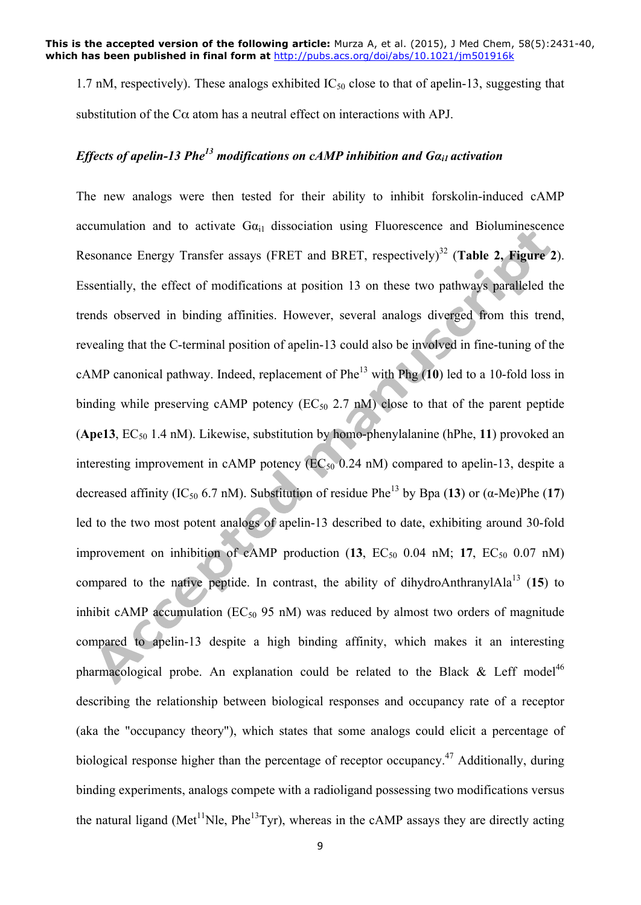1.7 nM, respectively). These analogs exhibited  $IC_{50}$  close to that of apelin-13, suggesting that substitution of the  $C\alpha$  atom has a neutral effect on interactions with APJ.

## *Effects of apelin-13 Phe13 modifications on cAMP inhibition and Gαi1 activation*

The new analogs were then tested for their ability to inhibit forskolin-induced cAMP accumulation and to activate  $Ga_{i1}$  dissociation using Fluorescence and Bioluminescence Resonance Energy Transfer assays (FRET and BRET, respectively) <sup>32</sup> (**Table 2, Figure 2**). Essentially, the effect of modifications at position 13 on these two pathways paralleled the trends observed in binding affinities. However, several analogs diverged from this trend, revealing that the C-terminal position of apelin-13 could also be involved in fine-tuning of the cAMP canonical pathway. Indeed, replacement of Phe<sup>13</sup> with Phg (**10**) led to a 10-fold loss in binding while preserving cAMP potency  $(EC_{50} 2.7 \text{ nM})$  close to that of the parent peptide (Ape13,  $EC_{50}$  1.4 nM). Likewise, substitution by homo-phenylalanine (hPhe, 11) provoked an interesting improvement in cAMP potency ( $EC_{50}$  0.24 nM) compared to apelin-13, despite a decreased affinity (IC<sub>50</sub> 6.7 nM). Substitution of residue Phe<sup>13</sup> by Bpa (13) or ( $\alpha$ -Me)Phe (17) led to the two most potent analogs of apelin-13 described to date, exhibiting around 30-fold improvement on inhibition of cAMP production  $(13, EC_{50} 0.04 \text{ nM}; 17, EC_{50} 0.07 \text{ nM})$ compared to the native peptide. In contrast, the ability of dihydroAnthranylAla<sup>13</sup> (15) to inhibit cAMP accumulation ( $EC_{50}$  95 nM) was reduced by almost two orders of magnitude compared to apelin-13 despite a high binding affinity, which makes it an interesting pharmacological probe. An explanation could be related to the Black  $\&$  Leff model<sup>46</sup> describing the relationship between biological responses and occupancy rate of a receptor (aka the "occupancy theory"), which states that some analogs could elicit a percentage of biological response higher than the percentage of receptor occupancy.<sup>47</sup> Additionally, during binding experiments, analogs compete with a radioligand possessing two modifications versus the natural ligand (Met<sup>11</sup>Nle, Phe<sup>13</sup>Tyr), whereas in the cAMP assays they are directly acting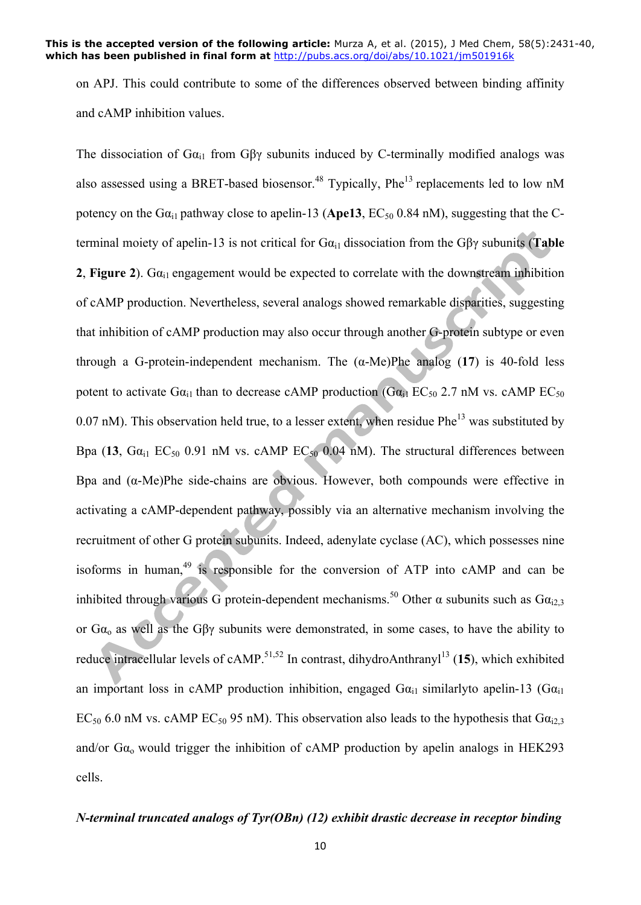on APJ. This could contribute to some of the differences observed between binding affinity and cAMP inhibition values.

The dissociation of  $Ga_{i1}$  from  $G\beta\gamma$  subunits induced by C-terminally modified analogs was also assessed using a BRET-based biosensor.<sup>48</sup> Typically, Phe<sup>13</sup> replacements led to low nM potency on the G $\alpha_{i1}$  pathway close to apelin-13 (Ape13, EC<sub>50</sub> 0.84 nM), suggesting that the Cterminal moiety of apelin-13 is not critical for Gα<sub>il</sub> dissociation from the Gβγ subunits (**Table 2. Figure 2**). G $\alpha_{i1}$  engagement would be expected to correlate with the downstream inhibition of cAMP production. Nevertheless, several analogs showed remarkable disparities, suggesting that inhibition of cAMP production may also occur through another G-protein subtype or even through a G-protein-independent mechanism. The (α-Me)Phe analog (**17**) is 40-fold less potent to activate G $\alpha_{i1}$  than to decrease cAMP production (G $\alpha_{i1}$  EC<sub>50</sub> 2.7 nM vs. cAMP EC<sub>50</sub> 0.07 nM). This observation held true, to a lesser extent, when residue  $Phe^{13}$  was substituted by Bpa (13,  $Ga_{i1}$   $EC_{50}$  0.91 nM vs. cAMP  $EC_{50}$  0.04 nM). The structural differences between Bpa and  $(\alpha$ -Me)Phe side-chains are obvious. However, both compounds were effective in activating a cAMP-dependent pathway, possibly via an alternative mechanism involving the recruitment of other G protein subunits. Indeed, adenylate cyclase (AC), which possesses nine isoforms in human,<sup>49</sup> is responsible for the conversion of ATP into cAMP and can be inhibited through various G protein-dependent mechanisms.<sup>50</sup> Other  $\alpha$  subunits such as G $\alpha_{i2,3}$ or  $Ga_0$  as well as the Gβγ subunits were demonstrated, in some cases, to have the ability to reduce intracellular levels of cAMP.<sup>51,52</sup> In contrast, dihydroAnthranyl<sup>13</sup> (15), which exhibited an important loss in cAMP production inhibition, engaged  $Ga_{i1}$  similarlyto apelin-13 ( $Ga_{i1}$ ) EC<sub>50</sub> 6.0 nM vs. cAMP EC<sub>50</sub> 95 nM). This observation also leads to the hypothesis that  $Ga<sub>i2.3</sub>$ and/or  $Ga_0$  would trigger the inhibition of cAMP production by apelin analogs in HEK293 cells.

### *N-terminal truncated analogs of Tyr(OBn) (12) exhibit drastic decrease in receptor binding*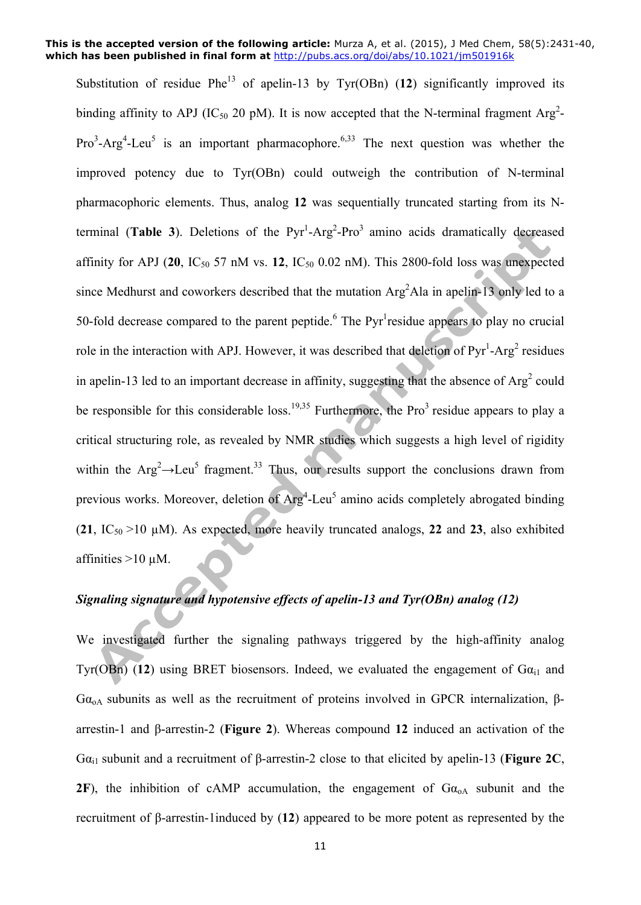Substitution of residue  $Phe^{13}$  of apelin-13 by Tyr(OBn) (12) significantly improved its binding affinity to APJ (IC<sub>50</sub> 20 pM). It is now accepted that the N-terminal fragment Arg<sup>2</sup>- $Pro<sup>3</sup>-Arg<sup>4</sup>-Leu<sup>5</sup>$  is an important pharmacophore.<sup>6,33</sup> The next question was whether the improved potency due to Tyr(OBn) could outweigh the contribution of N-terminal pharmacophoric elements. Thus, analog **12** was sequentially truncated starting from its Nterminal (**Table 3**). Deletions of the  $Pyr^1-Arg^2-Pro^3$  amino acids dramatically decreased affinity for APJ  $(20, IC_{50} 57 \text{ nM vs. } 12, IC_{50} 0.02 \text{ nM})$ . This 2800-fold loss was unexpected since Medhurst and coworkers described that the mutation Arg<sup>2</sup>Ala in apelin-13 only led to a 50-fold decrease compared to the parent peptide.<sup>6</sup> The Pyr<sup>1</sup>residue appears to play no crucial role in the interaction with APJ. However, it was described that deletion of  $Pyr<sup>1</sup>-Arg<sup>2</sup>$  residues in apelin-13 led to an important decrease in affinity, suggesting that the absence of  $Arg<sup>2</sup>$  could be responsible for this considerable loss.<sup>19,35</sup> Furthermore, the Pro<sup>3</sup> residue appears to play a critical structuring role, as revealed by NMR studies which suggests a high level of rigidity within the  $Arg^2 \rightarrow Lev^5$  fragment.<sup>33</sup> Thus, our results support the conclusions drawn from previous works. Moreover, deletion of Arg<sup>4</sup>-Leu<sup>5</sup> amino acids completely abrogated binding (21,  $IC_{50} > 10 \mu M$ ). As expected, more heavily truncated analogs, 22 and 23, also exhibited affinities  $>10 \mu M$ .

# *Signaling signature and hypotensive effects of apelin-13 and Tyr(OBn) analog (12)*

We investigated further the signaling pathways triggered by the high-affinity analog Tyr(OBn) (12) using BRET biosensors. Indeed, we evaluated the engagement of  $Ga_{i1}$  and Gα<sub>oA</sub> subunits as well as the recruitment of proteins involved in GPCR internalization, βarrestin-1 and β-arrestin-2 (**Figure 2**). Whereas compound **12** induced an activation of the Gαi1 subunit and a recruitment of β-arrestin-2 close to that elicited by apelin-13 (**Figure 2C**, **2F**), the inhibition of cAMP accumulation, the engagement of  $Ga<sub>oA</sub>$  subunit and the recruitment of β-arrestin-1induced by (**12**) appeared to be more potent as represented by the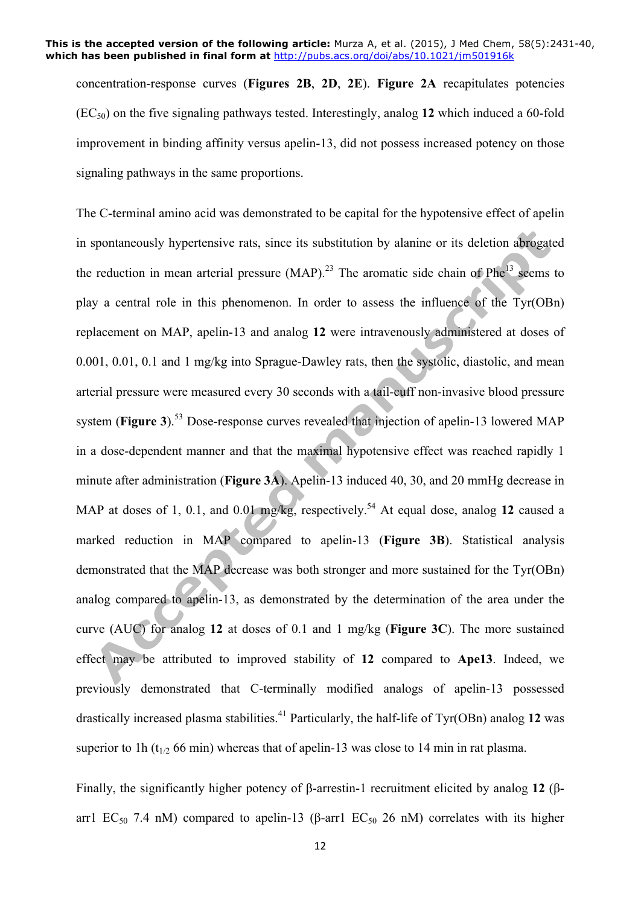concentration-response curves (**Figures 2B**, **2D**, **2E**). **Figure 2A** recapitulates potencies (EC50) on the five signaling pathways tested. Interestingly, analog **12** which induced a 60-fold improvement in binding affinity versus apelin-13, did not possess increased potency on those signaling pathways in the same proportions.

The C-terminal amino acid was demonstrated to be capital for the hypotensive effect of apelin in spontaneously hypertensive rats, since its substitution by alanine or its deletion abrogated the reduction in mean arterial pressure  $(MAP)$ .<sup>23</sup> The aromatic side chain of Phe<sup>13</sup> seems to play a central role in this phenomenon. In order to assess the influence of the Tyr(OBn) replacement on MAP, apelin-13 and analog **12** were intravenously administered at doses of 0.001, 0.01, 0.1 and 1 mg/kg into Sprague-Dawley rats, then the systolic, diastolic, and mean arterial pressure were measured every 30 seconds with a tail-cuff non-invasive blood pressure system (**Figure 3**).<sup>53</sup> Dose-response curves revealed that injection of apelin-13 lowered MAP in a dose-dependent manner and that the maximal hypotensive effect was reached rapidly 1 minute after administration (**Figure 3A**). Apelin-13 induced 40, 30, and 20 mmHg decrease in MAP at doses of 1, 0.1, and 0.01 mg/kg, respectively. <sup>54</sup> At equal dose, analog **12** caused a marked reduction in MAP compared to apelin-13 (**Figure 3B**). Statistical analysis demonstrated that the MAP decrease was both stronger and more sustained for the Tyr(OBn) analog compared to apelin-13, as demonstrated by the determination of the area under the curve (AUC) for analog **12** at doses of 0.1 and 1 mg/kg (**Figure 3C**). The more sustained effect may be attributed to improved stability of **12** compared to **Ape13**. Indeed, we previously demonstrated that C-terminally modified analogs of apelin-13 possessed drastically increased plasma stabilities. <sup>41</sup> Particularly, the half-life of Tyr(OBn) analog **12** was superior to 1h ( $t_{1/2}$  66 min) whereas that of apelin-13 was close to 14 min in rat plasma.

Finally, the significantly higher potency of β-arrestin-1 recruitment elicited by analog **12** (βarr1 EC<sub>50</sub> 7.4 nM) compared to apelin-13 ( $\beta$ -arr1 EC<sub>50</sub> 26 nM) correlates with its higher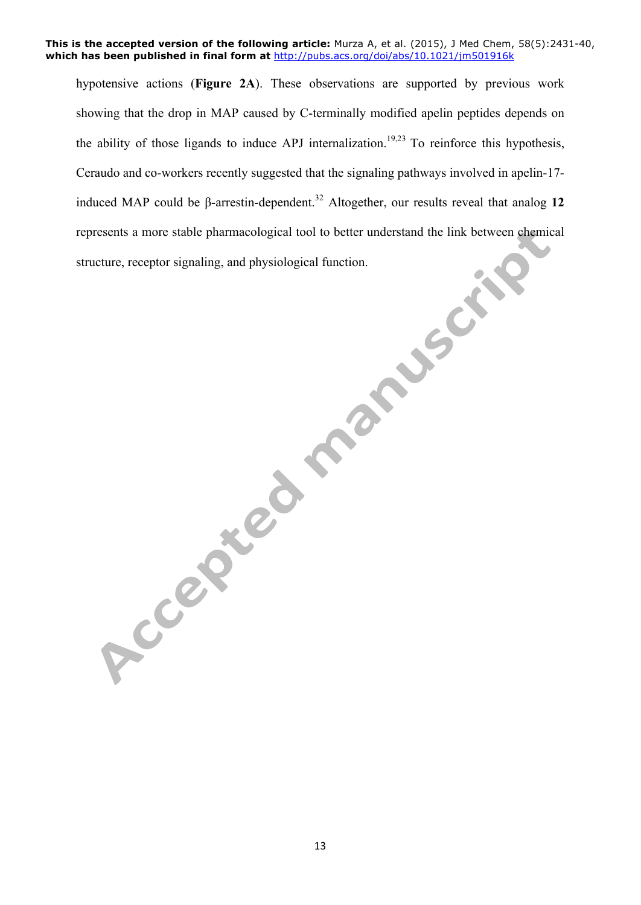hypotensive actions (**Figure 2A**). These observations are supported by previous work showing that the drop in MAP caused by C-terminally modified apelin peptides depends on the ability of those ligands to induce APJ internalization.<sup>19,23</sup> To reinforce this hypothesis, Ceraudo and co-workers recently suggested that the signaling pathways involved in apelin-17 induced MAP could be β-arrestin-dependent.<sup>32</sup> Altogether, our results reveal that analog 12 represents a more stable pharmacological tool to better understand the link between chemical structure, receptor signaling, and physiological function.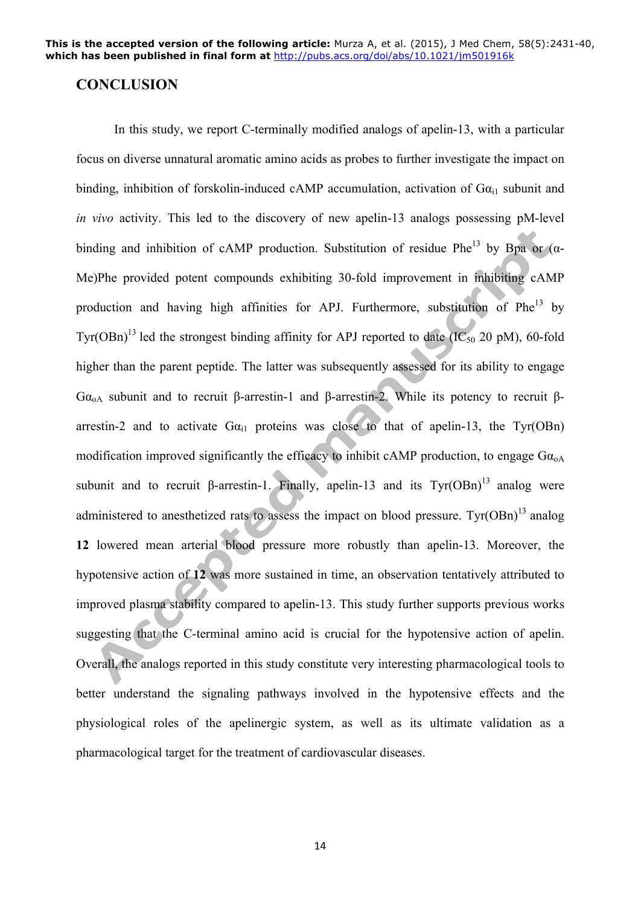## **CONCLUSION**

In this study, we report C-terminally modified analogs of apelin-13, with a particular focus on diverse unnatural aromatic amino acids as probes to further investigate the impact on binding, inhibition of forskolin-induced cAMP accumulation, activation of  $Ga_{i1}$  subunit and *in vivo* activity. This led to the discovery of new apelin-13 analogs possessing pM-level binding and inhibition of cAMP production. Substitution of residue Phe<sup>13</sup> by Bpa or ( $\alpha$ -Me)Phe provided potent compounds exhibiting 30-fold improvement in inhibiting cAMP production and having high affinities for APJ. Furthermore, substitution of Phe<sup>13</sup> by Tyr(OBn)<sup>13</sup> led the strongest binding affinity for APJ reported to date (IC<sub>50</sub> 20 pM), 60-fold higher than the parent peptide. The latter was subsequently assessed for its ability to engage Gα<sub>oA</sub> subunit and to recruit β-arrestin-1 and β-arrestin-2. While its potency to recruit βarrestin-2 and to activate  $Ga_{i1}$  proteins was close to that of apelin-13, the Tyr(OBn) modification improved significantly the efficacy to inhibit cAMP production, to engage  $Ga<sub>oa</sub>$ subunit and to recruit β-arrestin-1. Finally, apelin-13 and its  $Tyr(OBn)^{13}$  analog were administered to anesthetized rats to assess the impact on blood pressure.  $Tyr(OBn)^{13}$  analog **12** lowered mean arterial blood pressure more robustly than apelin-13. Moreover, the hypotensive action of **12** was more sustained in time, an observation tentatively attributed to improved plasma stability compared to apelin-13. This study further supports previous works suggesting that the C-terminal amino acid is crucial for the hypotensive action of apelin. Overall, the analogs reported in this study constitute very interesting pharmacological tools to better understand the signaling pathways involved in the hypotensive effects and the physiological roles of the apelinergic system, as well as its ultimate validation as a pharmacological target for the treatment of cardiovascular diseases.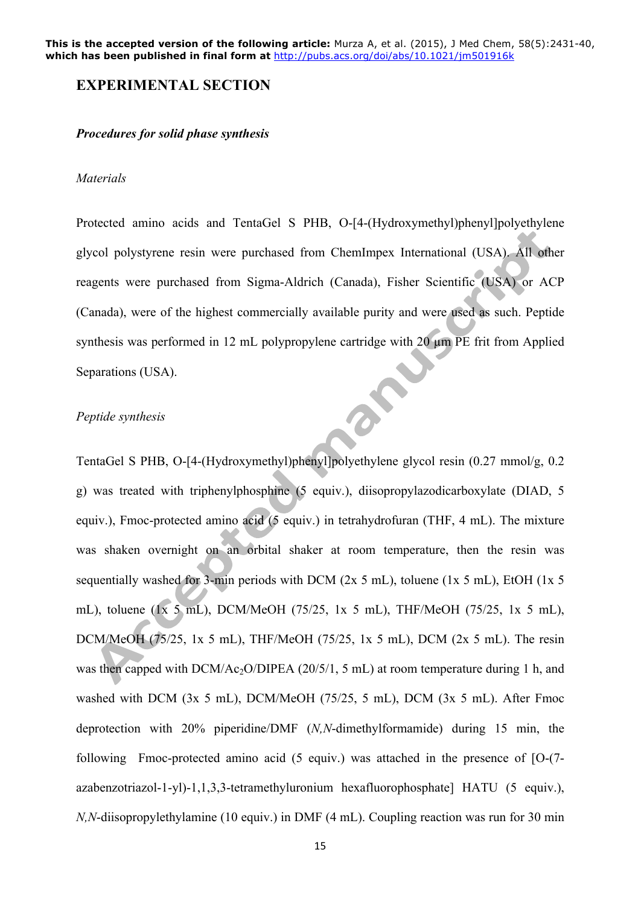## **EXPERIMENTAL SECTION**

### *Procedures for solid phase synthesis*

#### *Materials*

Protected amino acids and TentaGel S PHB, O-[4-(Hydroxymethyl)phenyl]polyethylene glycol polystyrene resin were purchased from ChemImpex International (USA). All other reagents were purchased from Sigma-Aldrich (Canada), Fisher Scientific (USA) or ACP (Canada), were of the highest commercially available purity and were used as such. Peptide synthesis was performed in 12 mL polypropylene cartridge with  $20 \mu m$  PE frit from Applied PAC Separations (USA).

#### *Peptide synthesis*

TentaGel S PHB, O-[4-(Hydroxymethyl)phenyl]polyethylene glycol resin (0.27 mmol/g, 0.2 g) was treated with triphenylphosphine (5 equiv.), diisopropylazodicarboxylate (DIAD, 5 equiv.), Fmoc-protected amino acid (5 equiv.) in tetrahydrofuran (THF, 4 mL). The mixture was shaken overnight on an orbital shaker at room temperature, then the resin was sequentially washed for 3-min periods with DCM ( $2x 5$  mL), toluene ( $1x 5$  mL), EtOH ( $1x 5$ mL), toluene (1x 5 mL), DCM/MeOH (75/25, 1x 5 mL), THF/MeOH (75/25, 1x 5 mL), DCM/MeOH (75/25, 1x 5 mL), THF/MeOH (75/25, 1x 5 mL), DCM (2x 5 mL). The resin was then capped with DCM/Ac<sub>2</sub>O/DIPEA (20/5/1, 5 mL) at room temperature during 1 h, and washed with DCM (3x 5 mL), DCM/MeOH (75/25, 5 mL), DCM (3x 5 mL). After Fmoc deprotection with 20% piperidine/DMF (*N,N*-dimethylformamide) during 15 min, the following Fmoc-protected amino acid (5 equiv.) was attached in the presence of [O-(7 azabenzotriazol-1-yl)-1,1,3,3-tetramethyluronium hexafluorophosphate] HATU (5 equiv.), *N,N*-diisopropylethylamine (10 equiv.) in DMF (4 mL). Coupling reaction was run for 30 min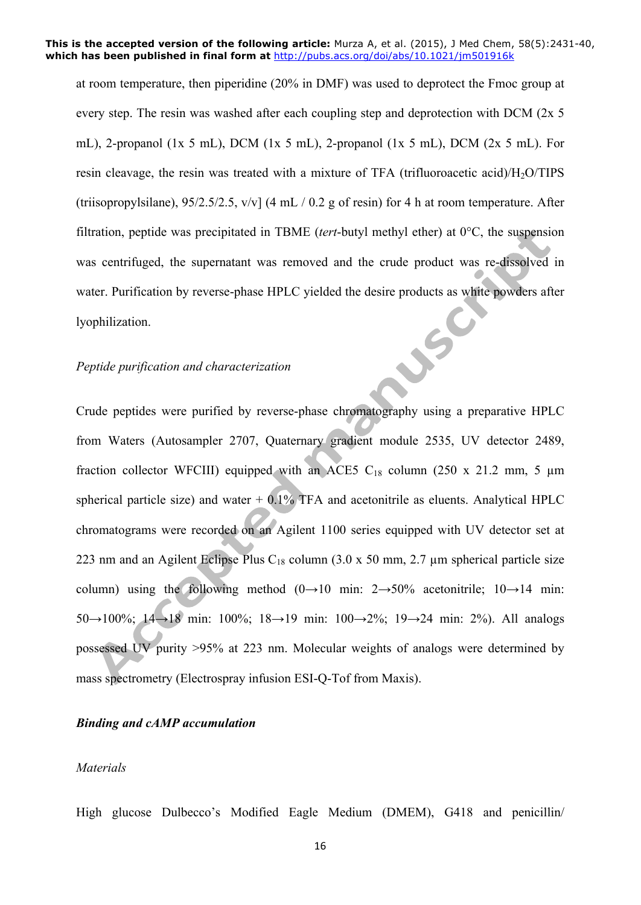at room temperature, then piperidine (20% in DMF) was used to deprotect the Fmoc group at every step. The resin was washed after each coupling step and deprotection with DCM (2x 5 mL), 2-propanol (1x 5 mL), DCM (1x 5 mL), 2-propanol (1x 5 mL), DCM (2x 5 mL). For resin cleavage, the resin was treated with a mixture of TFA (trifluoroacetic acid)/ $H<sub>2</sub>O/TIPS$ (triisopropylsilane), 95/2.5/2.5, v/v] (4 mL / 0.2 g of resin) for 4 h at room temperature. After filtration, peptide was precipitated in TBME (*tert*-butyl methyl ether) at 0°C, the suspension was centrifuged, the supernatant was removed and the crude product was re-dissolved in water. Purification by reverse-phase HPLC yielded the desire products as white powders after lyophilization.<br>
Peptide purification and characterization lyophilization.

### *Peptide purification and characterization*

Crude peptides were purified by reverse-phase chromatography using a preparative HPLC from Waters (Autosampler 2707, Quaternary gradient module 2535, UV detector 2489, fraction collector WFCIII) equipped with an ACE5 C<sub>18</sub> column (250 x 21.2 mm, 5  $\mu$ m spherical particle size) and water  $+ 0.1\%$  TFA and acetonitrile as eluents. Analytical HPLC chromatograms were recorded on an Agilent 1100 series equipped with UV detector set at 223 nm and an Agilent Eclipse Plus C<sub>18</sub> column  $(3.0 \times 50 \text{ mm}, 2.7 \text{ }\mu\text{m}$  spherical particle size column) using the following method  $(0\rightarrow 10$  min:  $2\rightarrow 50\%$  acetonitrile;  $10\rightarrow 14$  min: 50→100%; 14→18 min: 100%; 18→19 min: 100→2%; 19→24 min: 2%). All analogs possessed UV purity >95% at 223 nm. Molecular weights of analogs were determined by mass spectrometry (Electrospray infusion ESI-Q-Tof from Maxis).

#### *Binding and cAMP accumulation*

#### *Materials*

High glucose Dulbecco's Modified Eagle Medium (DMEM), G418 and penicillin/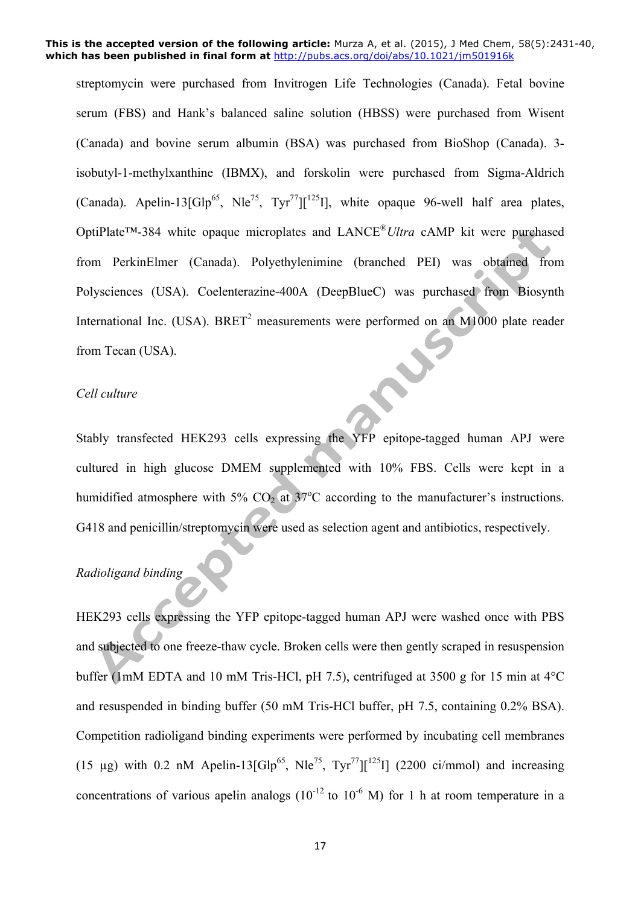streptomycin were purchased from Invitrogen Life Technologies (Canada). Fetal bovine serum (FBS) and Hank's balanced saline solution (HBSS) were purchased from Wisent (Canada) and bovine serum albumin (BSA) was purchased from BioShop (Canada). 3 isobutyl-1-methylxanthine (IBMX), and forskolin were purchased from Sigma-Aldrich (Canada). Apelin-13 $[Glp^{65}, Nle^{75}, Tyr^{77}]$ <sup>[125</sup>], white opaque 96-well half area plates, OptiPlate™-384 white opaque microplates and LANCE®*Ultra* cAMP kit were purchased from PerkinElmer (Canada). Polyethylenimine (branched PEI) was obtained from Polysciences (USA). Coelenterazine-400A (DeepBlueC) was purchased from Biosynth International Inc. (USA).  $BRET<sup>2</sup>$  measurements were performed on an M1000 plate reader LUS from Tecan (USA).

#### *Cell culture*

Stably transfected HEK293 cells expressing the YFP epitope-tagged human APJ were cultured in high glucose DMEM supplemented with 10% FBS. Cells were kept in a humidified atmosphere with 5%  $CO<sub>2</sub>$  at 37°C according to the manufacturer's instructions. G418 and penicillin/streptomycin were used as selection agent and antibiotics, respectively.

# *Radioligand binding*

HEK293 cells expressing the YFP epitope-tagged human APJ were washed once with PBS and subjected to one freeze-thaw cycle. Broken cells were then gently scraped in resuspension buffer (1mM EDTA and 10 mM Tris-HCl, pH 7.5), centrifuged at 3500 g for 15 min at 4°C and resuspended in binding buffer (50 mM Tris-HCl buffer, pH 7.5, containing 0.2% BSA). Competition radioligand binding experiments were performed by incubating cell membranes (15 µg) with 0.2 nM Apelin-13[Glp<sup>65</sup>, Nle<sup>75</sup>, Tyr<sup>77</sup>][<sup>125</sup>I] (2200 ci/mmol) and increasing concentrations of various apelin analogs  $(10^{-12}$  to  $10^{-6}$  M) for 1 h at room temperature in a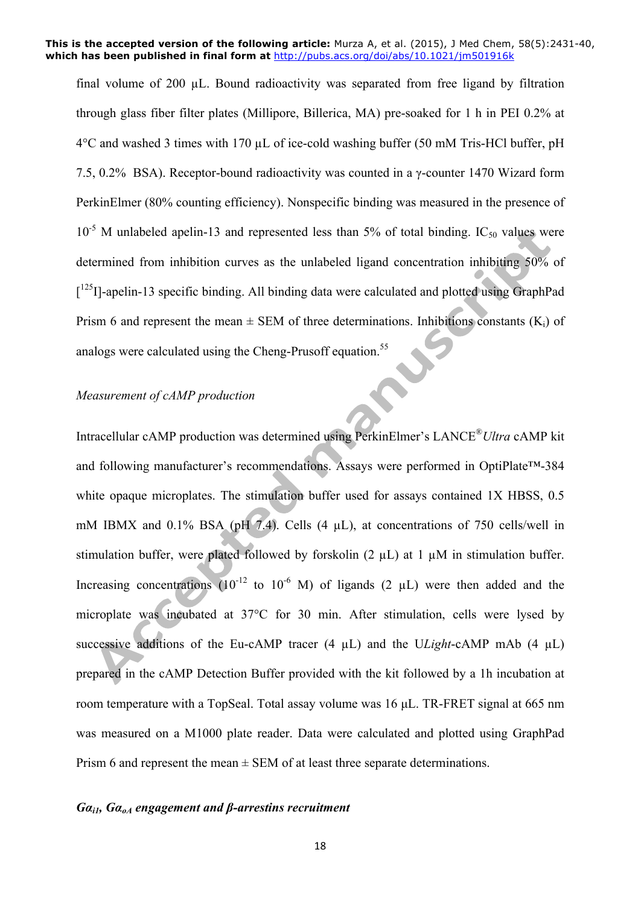final volume of 200 µL. Bound radioactivity was separated from free ligand by filtration through glass fiber filter plates (Millipore, Billerica, MA) pre-soaked for 1 h in PEI 0.2% at 4°C and washed 3 times with 170 µL of ice-cold washing buffer (50 mM Tris-HCl buffer, pH 7.5, 0.2% BSA). Receptor-bound radioactivity was counted in a γ-counter 1470 Wizard form PerkinElmer (80% counting efficiency). Nonspecific binding was measured in the presence of  $10^{-5}$  M unlabeled apelin-13 and represented less than 5% of total binding. IC<sub>50</sub> values were determined from inhibition curves as the unlabeled ligand concentration inhibiting 50% of [<sup>125</sup>I]-apelin-13 specific binding. All binding data were calculated and plotted using GraphPad Prism 6 and represent the mean  $\pm$  SEM of three determinations. Inhibitions constants (K<sub>i</sub>) of analogs were calculated using the Cheng-Prusoff equation.<sup>55</sup>

#### *Measurement of cAMP production*

Intracellular cAMP production was determined using PerkinElmer's LANCE®*Ultra* cAMP kit and following manufacturer's recommendations. Assays were performed in OptiPlate™-384 white opaque microplates. The stimulation buffer used for assays contained 1X HBSS, 0.5 mM IBMX and 0.1% BSA (pH 7.4). Cells  $(4 \mu L)$ , at concentrations of 750 cells/well in stimulation buffer, were plated followed by forskolin (2  $\mu$ L) at 1  $\mu$ M in stimulation buffer. Increasing concentrations  $(10^{-12} \text{ to } 10^{-6} \text{ M})$  of ligands  $(2 \mu \text{L})$  were then added and the microplate was incubated at 37°C for 30 min. After stimulation, cells were lysed by successive additions of the Eu-cAMP tracer (4 µL) and the U*Light*-cAMP mAb (4 µL) prepared in the cAMP Detection Buffer provided with the kit followed by a 1h incubation at room temperature with a TopSeal. Total assay volume was 16 µL. TR-FRET signal at 665 nm was measured on a M1000 plate reader. Data were calculated and plotted using GraphPad Prism 6 and represent the mean  $\pm$  SEM of at least three separate determinations.

### *Gαi1, GαoA engagement and β-arrestins recruitment*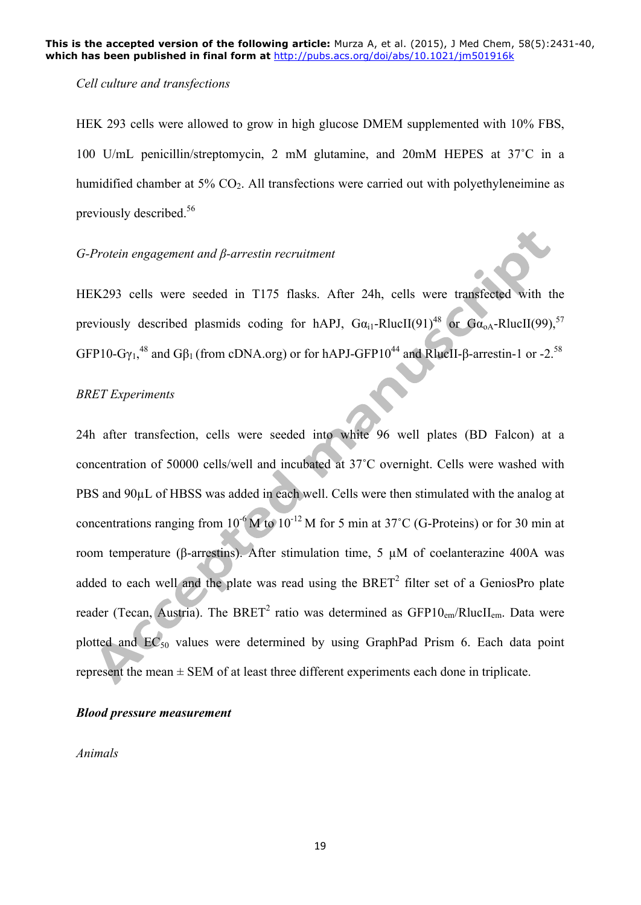### *Cell culture and transfections*

HEK 293 cells were allowed to grow in high glucose DMEM supplemented with 10% FBS, 100 U/mL penicillin/streptomycin, 2 mM glutamine, and 20mM HEPES at 37˚C in a humidified chamber at  $5\%$  CO<sub>2</sub>. All transfections were carried out with polyethyleneimine as previously described. 56

### *G-Protein engagement and β-arrestin recruitment*

HEK293 cells were seeded in T175 flasks. After 24h, cells were transfected with the previously described plasmids coding for hAPJ,  $Ga_{i1}$ -RlucII(91)<sup>48</sup> or  $Ga_{0A}$ -RlucII(99)<sup>57</sup> GFP10-Gγ<sub>1</sub>,<sup>48</sup> and Gβ<sub>1</sub> (from cDNA.org) or for hAPJ-GFP10<sup>44</sup> and RlucII-β-arrestin-1 or -2.<sup>58</sup>

### *BRET Experiments*

24h after transfection, cells were seeded into white 96 well plates (BD Falcon) at a concentration of 50000 cells/well and incubated at 37˚C overnight. Cells were washed with PBS and 90µL of HBSS was added in each well. Cells were then stimulated with the analog at concentrations ranging from  $10^{-6}$  M to  $10^{-12}$  M for 5 min at 37°C (G-Proteins) or for 30 min at room temperature (β-arrestins). After stimulation time, 5 µM of coelanterazine 400A was added to each well and the plate was read using the  $BRET<sup>2</sup>$  filter set of a GeniosPro plate reader (Tecan, Austria). The BRET<sup>2</sup> ratio was determined as  $GFP10<sub>em</sub>/RlucII<sub>em</sub>$ . Data were plotted and  $EC_{50}$  values were determined by using GraphPad Prism 6. Each data point represent the mean ± SEM of at least three different experiments each done in triplicate.

### *Blood pressure measurement*

*Animals*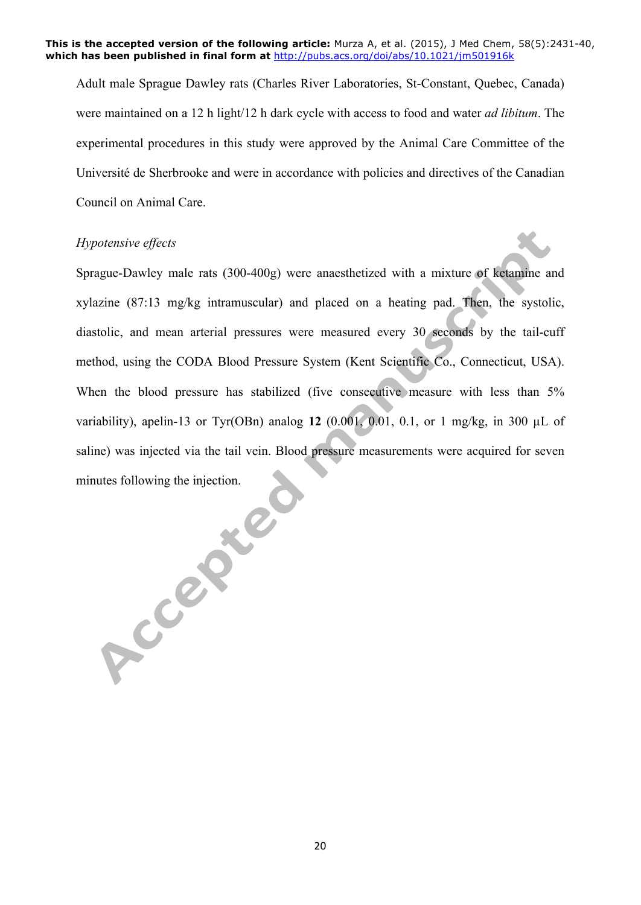Adult male Sprague Dawley rats (Charles River Laboratories, St-Constant, Quebec, Canada) were maintained on a 12 h light/12 h dark cycle with access to food and water *ad libitum*. The experimental procedures in this study were approved by the Animal Care Committee of the Université de Sherbrooke and were in accordance with policies and directives of the Canadian Council on Animal Care.

## *Hypotensive effects*

Sprague-Dawley male rats (300-400g) were anaesthetized with a mixture of ketamine and xylazine (87:13 mg/kg intramuscular) and placed on a heating pad. Then, the systolic, diastolic, and mean arterial pressures were measured every 30 seconds by the tail-cuff method, using the CODA Blood Pressure System (Kent Scientific Co., Connecticut, USA). When the blood pressure has stabilized (five consecutive measure with less than 5%) variability), apelin-13 or Tyr(OBn) analog  $12$  (0.001, 0.01, 0.1, or 1 mg/kg, in 300  $\mu$ L of saline) was injected via the tail vein. Blood pressure measurements were acquired for seven minutes following the injection.

20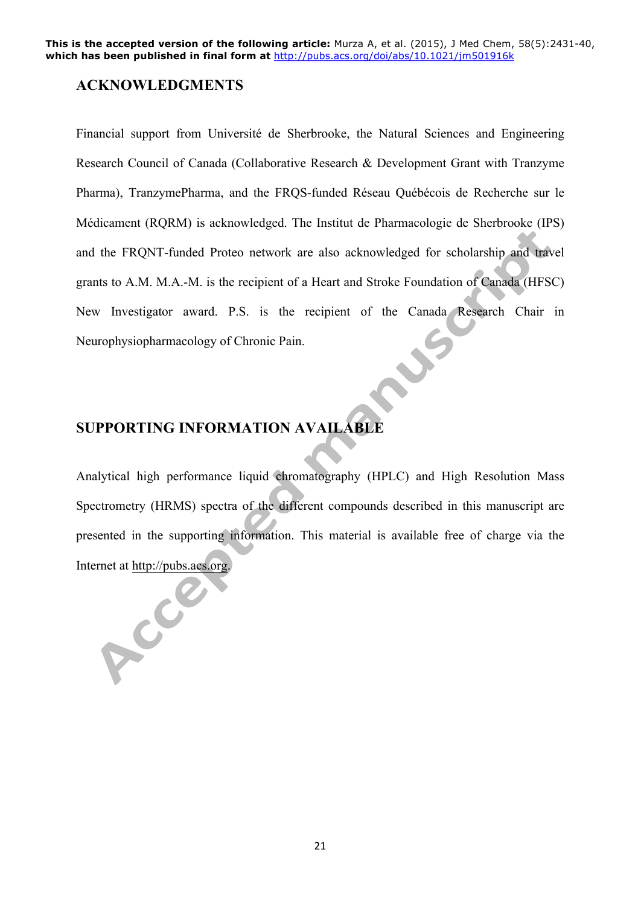## **ACKNOWLEDGMENTS**

Financial support from Université de Sherbrooke, the Natural Sciences and Engineering Research Council of Canada (Collaborative Research & Development Grant with Tranzyme Pharma), TranzymePharma, and the FRQS-funded Réseau Québécois de Recherche sur le Médicament (RQRM) is acknowledged. The Institut de Pharmacologie de Sherbrooke (IPS) and the FRQNT-funded Proteo network are also acknowledged for scholarship and travel grants to A.M. M.A.-M. is the recipient of a Heart and Stroke Foundation of Canada (HFSC) New Investigator award. P.S. is the recipient of the Canada Research Chair in Neurophysiopharmacology of Chronic Pain. LUI

# **SUPPORTING INFORMATION AVAILABLE**

Analytical high performance liquid chromatography (HPLC) and High Resolution Mass Spectrometry (HRMS) spectra of the different compounds described in this manuscript are presented in the supporting information. This material is available free of charge via the

Internet at <u>http://pubs.acs.org</u>.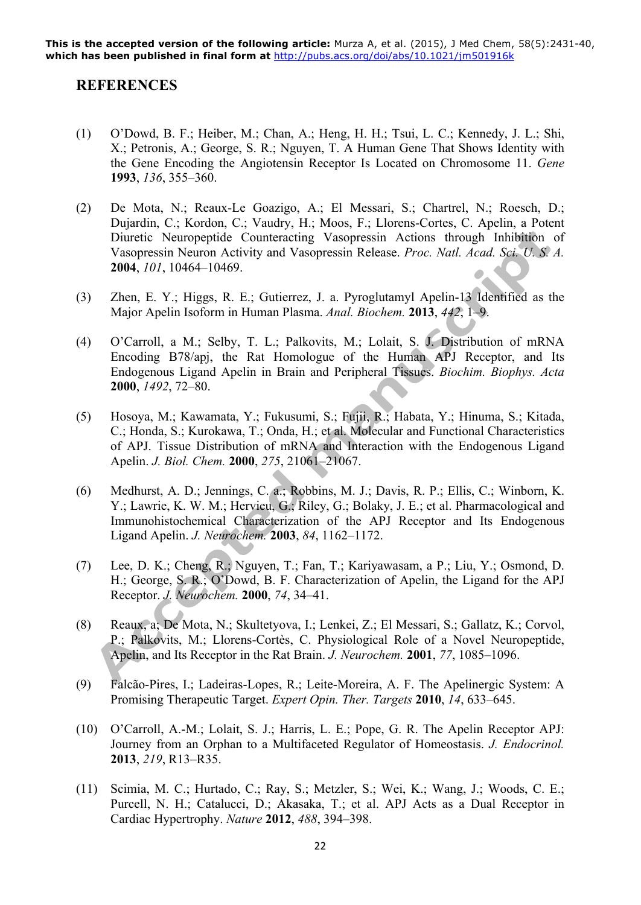# **REFERENCES**

- (1) O'Dowd, B. F.; Heiber, M.; Chan, A.; Heng, H. H.; Tsui, L. C.; Kennedy, J. L.; Shi, X.; Petronis, A.; George, S. R.; Nguyen, T. A Human Gene That Shows Identity with the Gene Encoding the Angiotensin Receptor Is Located on Chromosome 11. *Gene* **1993**, *136*, 355–360.
- (2) De Mota, N.; Reaux-Le Goazigo, A.; El Messari, S.; Chartrel, N.; Roesch, D.; Dujardin, C.; Kordon, C.; Vaudry, H.; Moos, F.; Llorens-Cortes, C. Apelin, a Potent Diuretic Neuropeptide Counteracting Vasopressin Actions through Inhibition of Vasopressin Neuron Activity and Vasopressin Release. *Proc. Natl. Acad. Sci. U. S. A.* **2004**, *101*, 10464–10469.
- (3) Zhen, E. Y.; Higgs, R. E.; Gutierrez, J. a. Pyroglutamyl Apelin-13 Identified as the Major Apelin Isoform in Human Plasma. *Anal. Biochem.* **2013**, *442*, 1–9.
- (4) O'Carroll, a M.; Selby, T. L.; Palkovits, M.; Lolait, S. J. Distribution of mRNA Encoding B78/apj, the Rat Homologue of the Human APJ Receptor, and Its Endogenous Ligand Apelin in Brain and Peripheral Tissues. *Biochim. Biophys. Acta* **2000**, *1492*, 72–80.
- (5) Hosoya, M.; Kawamata, Y.; Fukusumi, S.; Fujii, R.; Habata, Y.; Hinuma, S.; Kitada, C.; Honda, S.; Kurokawa, T.; Onda, H.; et al. Molecular and Functional Characteristics of APJ. Tissue Distribution of mRNA and Interaction with the Endogenous Ligand Apelin. *J. Biol. Chem.* **2000**, *275*, 21061–21067.
- (6) Medhurst, A. D.; Jennings, C. a.; Robbins, M. J.; Davis, R. P.; Ellis, C.; Winborn, K. Y.; Lawrie, K. W. M.; Hervieu, G.; Riley, G.; Bolaky, J. E.; et al. Pharmacological and Immunohistochemical Characterization of the APJ Receptor and Its Endogenous Ligand Apelin. *J. Neurochem.* **2003**, *84*, 1162–1172.
- (7) Lee, D. K.; Cheng, R.; Nguyen, T.; Fan, T.; Kariyawasam, a P.; Liu, Y.; Osmond, D. H.; George, S. R.; O'Dowd, B. F. Characterization of Apelin, the Ligand for the APJ Receptor. *J. Neurochem.* **2000**, *74*, 34–41.
- (8) Reaux, a; De Mota, N.; Skultetyova, I.; Lenkei, Z.; El Messari, S.; Gallatz, K.; Corvol, P.; Palkovits, M.; Llorens-Cortès, C. Physiological Role of a Novel Neuropeptide, Apelin, and Its Receptor in the Rat Brain. *J. Neurochem.* **2001**, *77*, 1085–1096.
- (9) Falcão-Pires, I.; Ladeiras-Lopes, R.; Leite-Moreira, A. F. The Apelinergic System: A Promising Therapeutic Target. *Expert Opin. Ther. Targets* **2010**, *14*, 633–645.
- (10) O'Carroll, A.-M.; Lolait, S. J.; Harris, L. E.; Pope, G. R. The Apelin Receptor APJ: Journey from an Orphan to a Multifaceted Regulator of Homeostasis. *J. Endocrinol.* **2013**, *219*, R13–R35.
- (11) Scimia, M. C.; Hurtado, C.; Ray, S.; Metzler, S.; Wei, K.; Wang, J.; Woods, C. E.; Purcell, N. H.; Catalucci, D.; Akasaka, T.; et al. APJ Acts as a Dual Receptor in Cardiac Hypertrophy. *Nature* **2012**, *488*, 394–398.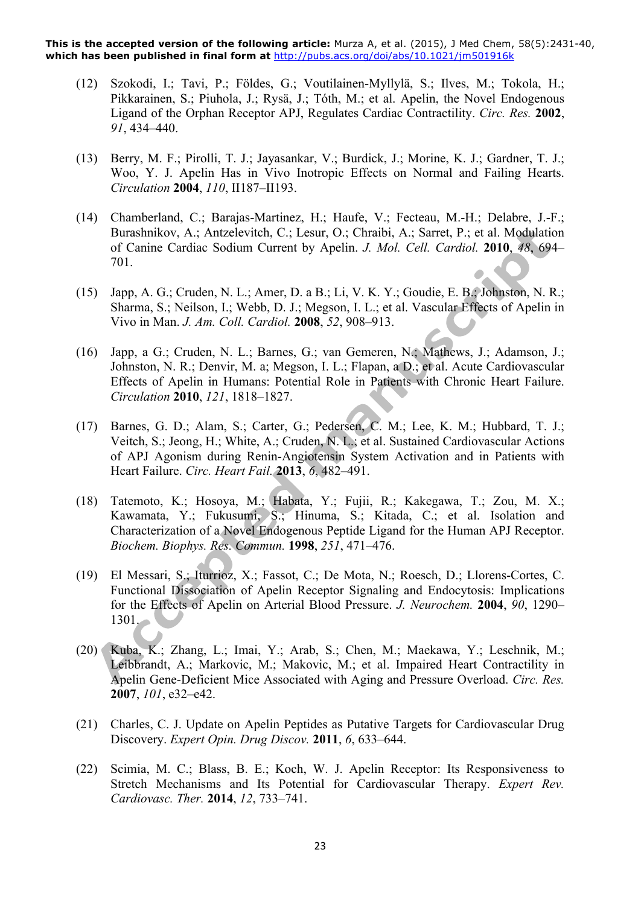- (12) Szokodi, I.; Tavi, P.; Földes, G.; Voutilainen-Myllylä, S.; Ilves, M.; Tokola, H.; Pikkarainen, S.; Piuhola, J.; Rysä, J.; Tóth, M.; et al. Apelin, the Novel Endogenous Ligand of the Orphan Receptor APJ, Regulates Cardiac Contractility. *Circ. Res.* **2002**, *91*, 434–440.
- (13) Berry, M. F.; Pirolli, T. J.; Jayasankar, V.; Burdick, J.; Morine, K. J.; Gardner, T. J.; Woo, Y. J. Apelin Has in Vivo Inotropic Effects on Normal and Failing Hearts. *Circulation* **2004**, *110*, II187–II193.
- (14) Chamberland, C.; Barajas-Martinez, H.; Haufe, V.; Fecteau, M.-H.; Delabre, J.-F.; Burashnikov, A.; Antzelevitch, C.; Lesur, O.; Chraibi, A.; Sarret, P.; et al. Modulation of Canine Cardiac Sodium Current by Apelin. *J. Mol. Cell. Cardiol.* **2010**, *48*, 694– 701.
- (15) Japp, A. G.; Cruden, N. L.; Amer, D. a B.; Li, V. K. Y.; Goudie, E. B.; Johnston, N. R.; Sharma, S.; Neilson, I.; Webb, D. J.; Megson, I. L.; et al. Vascular Effects of Apelin in Vivo in Man. *J. Am. Coll. Cardiol.* **2008**, *52*, 908–913.
- (16) Japp, a G.; Cruden, N. L.; Barnes, G.; van Gemeren, N.; Mathews, J.; Adamson, J.; Johnston, N. R.; Denvir, M. a; Megson, I. L.; Flapan, a D.; et al. Acute Cardiovascular Effects of Apelin in Humans: Potential Role in Patients with Chronic Heart Failure. *Circulation* **2010**, *121*, 1818–1827.
- (17) Barnes, G. D.; Alam, S.; Carter, G.; Pedersen, C. M.; Lee, K. M.; Hubbard, T. J.; Veitch, S.; Jeong, H.; White, A.; Cruden, N. L.; et al. Sustained Cardiovascular Actions of APJ Agonism during Renin-Angiotensin System Activation and in Patients with Heart Failure. *Circ. Heart Fail.* **2013**, *6*, 482–491.
- (18) Tatemoto, K.; Hosoya, M.; Habata, Y.; Fujii, R.; Kakegawa, T.; Zou, M. X.; Kawamata, Y.; Fukusumi, S.; Hinuma, S.; Kitada, C.; et al. Isolation and Characterization of a Novel Endogenous Peptide Ligand for the Human APJ Receptor. *Biochem. Biophys. Res. Commun.* **1998**, *251*, 471–476.
- (19) El Messari, S.; Iturrioz, X.; Fassot, C.; De Mota, N.; Roesch, D.; Llorens-Cortes, C. Functional Dissociation of Apelin Receptor Signaling and Endocytosis: Implications for the Effects of Apelin on Arterial Blood Pressure. *J. Neurochem.* **2004**, *90*, 1290–  $1301.$
- (20) Kuba, K.; Zhang, L.; Imai, Y.; Arab, S.; Chen, M.; Maekawa, Y.; Leschnik, M.; Leibbrandt, A.; Markovic, M.; Makovic, M.; et al. Impaired Heart Contractility in Apelin Gene-Deficient Mice Associated with Aging and Pressure Overload. *Circ. Res.* **2007**, *101*, e32–e42.
- (21) Charles, C. J. Update on Apelin Peptides as Putative Targets for Cardiovascular Drug Discovery. *Expert Opin. Drug Discov.* **2011**, *6*, 633–644.
- (22) Scimia, M. C.; Blass, B. E.; Koch, W. J. Apelin Receptor: Its Responsiveness to Stretch Mechanisms and Its Potential for Cardiovascular Therapy. *Expert Rev. Cardiovasc. Ther.* **2014**, *12*, 733–741.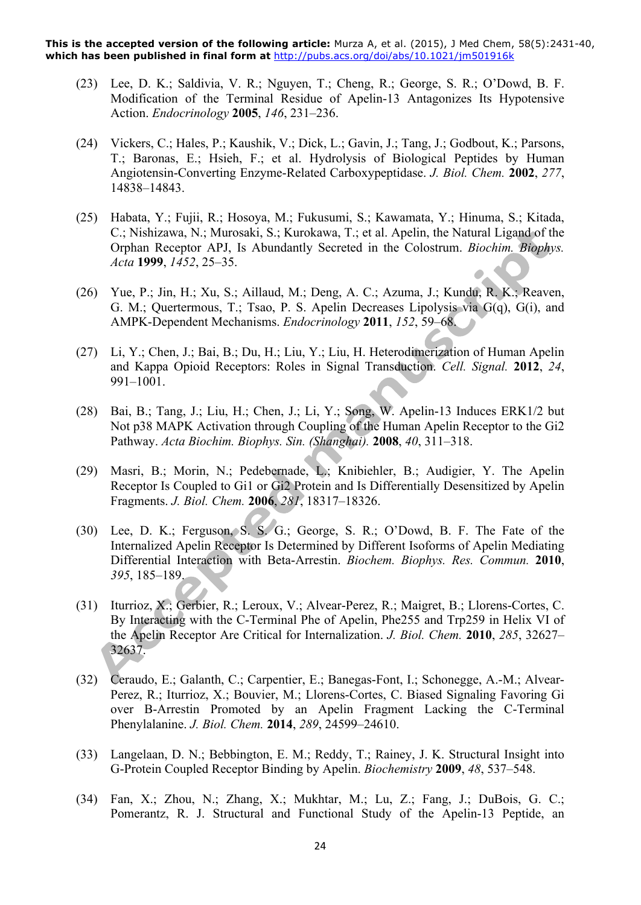- (23) Lee, D. K.; Saldivia, V. R.; Nguyen, T.; Cheng, R.; George, S. R.; O'Dowd, B. F. Modification of the Terminal Residue of Apelin-13 Antagonizes Its Hypotensive Action. *Endocrinology* **2005**, *146*, 231–236.
- (24) Vickers, C.; Hales, P.; Kaushik, V.; Dick, L.; Gavin, J.; Tang, J.; Godbout, K.; Parsons, T.; Baronas, E.; Hsieh, F.; et al. Hydrolysis of Biological Peptides by Human Angiotensin-Converting Enzyme-Related Carboxypeptidase. *J. Biol. Chem.* **2002**, *277*, 14838–14843.
- (25) Habata, Y.; Fujii, R.; Hosoya, M.; Fukusumi, S.; Kawamata, Y.; Hinuma, S.; Kitada, C.; Nishizawa, N.; Murosaki, S.; Kurokawa, T.; et al. Apelin, the Natural Ligand of the Orphan Receptor APJ, Is Abundantly Secreted in the Colostrum. *Biochim. Biophys. Acta* **1999**, *1452*, 25–35.
- (26) Yue, P.; Jin, H.; Xu, S.; Aillaud, M.; Deng, A. C.; Azuma, J.; Kundu, R. K.; Reaven, G. M.; Quertermous, T.; Tsao, P. S. Apelin Decreases Lipolysis via G(q), G(i), and AMPK-Dependent Mechanisms. *Endocrinology* **2011**, *152*, 59–68.
- (27) Li, Y.; Chen, J.; Bai, B.; Du, H.; Liu, Y.; Liu, H. Heterodimerization of Human Apelin and Kappa Opioid Receptors: Roles in Signal Transduction. *Cell. Signal.* **2012**, *24*, 991–1001.
- (28) Bai, B.; Tang, J.; Liu, H.; Chen, J.; Li, Y.; Song, W. Apelin-13 Induces ERK1/2 but Not p38 MAPK Activation through Coupling of the Human Apelin Receptor to the Gi2 Pathway. *Acta Biochim. Biophys. Sin. (Shanghai).* **2008**, *40*, 311–318.
- (29) Masri, B.; Morin, N.; Pedebernade, L.; Knibiehler, B.; Audigier, Y. The Apelin Receptor Is Coupled to Gi1 or Gi2 Protein and Is Differentially Desensitized by Apelin Fragments. *J. Biol. Chem.* **2006**, *281*, 18317–18326.
- (30) Lee, D. K.; Ferguson, S. S. G.; George, S. R.; O'Dowd, B. F. The Fate of the Internalized Apelin Receptor Is Determined by Different Isoforms of Apelin Mediating Differential Interaction with Beta-Arrestin. *Biochem. Biophys. Res. Commun.* **2010**, *395*, 185–189.
- (31) Iturrioz, X.; Gerbier, R.; Leroux, V.; Alvear-Perez, R.; Maigret, B.; Llorens-Cortes, C. By Interacting with the C-Terminal Phe of Apelin, Phe255 and Trp259 in Helix VI of the Apelin Receptor Are Critical for Internalization. *J. Biol. Chem.* **2010**, *285*, 32627– 32637.
- (32) Ceraudo, E.; Galanth, C.; Carpentier, E.; Banegas-Font, I.; Schonegge, A.-M.; Alvear-Perez, R.; Iturrioz, X.; Bouvier, M.; Llorens-Cortes, C. Biased Signaling Favoring Gi over Β-Arrestin Promoted by an Apelin Fragment Lacking the C-Terminal Phenylalanine. *J. Biol. Chem.* **2014**, *289*, 24599–24610.
- (33) Langelaan, D. N.; Bebbington, E. M.; Reddy, T.; Rainey, J. K. Structural Insight into G-Protein Coupled Receptor Binding by Apelin. *Biochemistry* **2009**, *48*, 537–548.
- (34) Fan, X.; Zhou, N.; Zhang, X.; Mukhtar, M.; Lu, Z.; Fang, J.; DuBois, G. C.; Pomerantz, R. J. Structural and Functional Study of the Apelin-13 Peptide, an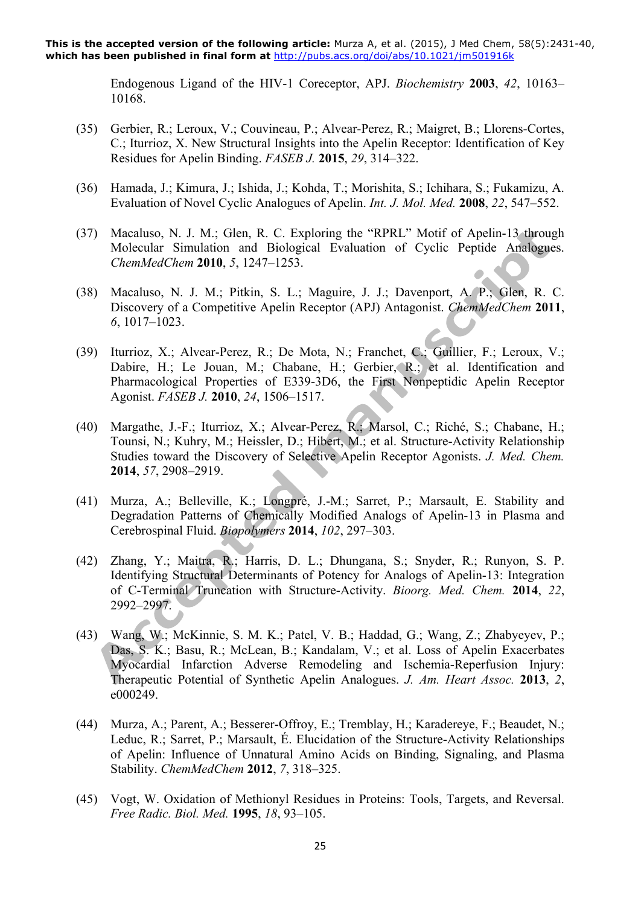Endogenous Ligand of the HIV-1 Coreceptor, APJ. *Biochemistry* **2003**, *42*, 10163– 10168.

- (35) Gerbier, R.; Leroux, V.; Couvineau, P.; Alvear-Perez, R.; Maigret, B.; Llorens-Cortes, C.; Iturrioz, X. New Structural Insights into the Apelin Receptor: Identification of Key Residues for Apelin Binding. *FASEB J.* **2015**, *29*, 314–322.
- (36) Hamada, J.; Kimura, J.; Ishida, J.; Kohda, T.; Morishita, S.; Ichihara, S.; Fukamizu, A. Evaluation of Novel Cyclic Analogues of Apelin. *Int. J. Mol. Med.* **2008**, *22*, 547–552.
- (37) Macaluso, N. J. M.; Glen, R. C. Exploring the "RPRL" Motif of Apelin-13 through Molecular Simulation and Biological Evaluation of Cyclic Peptide Analogues. *ChemMedChem* **2010**, *5*, 1247–1253.
- (38) Macaluso, N. J. M.; Pitkin, S. L.; Maguire, J. J.; Davenport, A. P.; Glen, R. C. Discovery of a Competitive Apelin Receptor (APJ) Antagonist. *ChemMedChem* **2011**, *6*, 1017–1023.
- (39) Iturrioz, X.; Alvear-Perez, R.; De Mota, N.; Franchet, C.; Guillier, F.; Leroux, V.; Dabire, H.; Le Jouan, M.; Chabane, H.; Gerbier, R.; et al. Identification and Pharmacological Properties of E339-3D6, the First Nonpeptidic Apelin Receptor Agonist. *FASEB J.* **2010**, *24*, 1506–1517.
- (40) Margathe, J.-F.; Iturrioz, X.; Alvear-Perez, R.; Marsol, C.; Riché, S.; Chabane, H.; Tounsi, N.; Kuhry, M.; Heissler, D.; Hibert, M.; et al. Structure-Activity Relationship Studies toward the Discovery of Selective Apelin Receptor Agonists. *J. Med. Chem.* **2014**, *57*, 2908–2919.
- (41) Murza, A.; Belleville, K.; Longpré, J.-M.; Sarret, P.; Marsault, E. Stability and Degradation Patterns of Chemically Modified Analogs of Apelin-13 in Plasma and Cerebrospinal Fluid. *Biopolymers* **2014**, *102*, 297–303.
- (42) Zhang, Y.; Maitra, R.; Harris, D. L.; Dhungana, S.; Snyder, R.; Runyon, S. P. Identifying Structural Determinants of Potency for Analogs of Apelin-13: Integration of C-Terminal Truncation with Structure-Activity. *Bioorg. Med. Chem.* **2014**, *22*, 2992–2997.
- (43) Wang, W.; McKinnie, S. M. K.; Patel, V. B.; Haddad, G.; Wang, Z.; Zhabyeyev, P.; Das, S. K.; Basu, R.; McLean, B.; Kandalam, V.; et al. Loss of Apelin Exacerbates Myocardial Infarction Adverse Remodeling and Ischemia-Reperfusion Injury: Therapeutic Potential of Synthetic Apelin Analogues. *J. Am. Heart Assoc.* **2013**, *2*, e000249.
- (44) Murza, A.; Parent, A.; Besserer-Offroy, E.; Tremblay, H.; Karadereye, F.; Beaudet, N.; Leduc, R.; Sarret, P.; Marsault, É. Elucidation of the Structure-Activity Relationships of Apelin: Influence of Unnatural Amino Acids on Binding, Signaling, and Plasma Stability. *ChemMedChem* **2012**, *7*, 318–325.
- (45) Vogt, W. Oxidation of Methionyl Residues in Proteins: Tools, Targets, and Reversal. *Free Radic. Biol. Med.* **1995**, *18*, 93–105.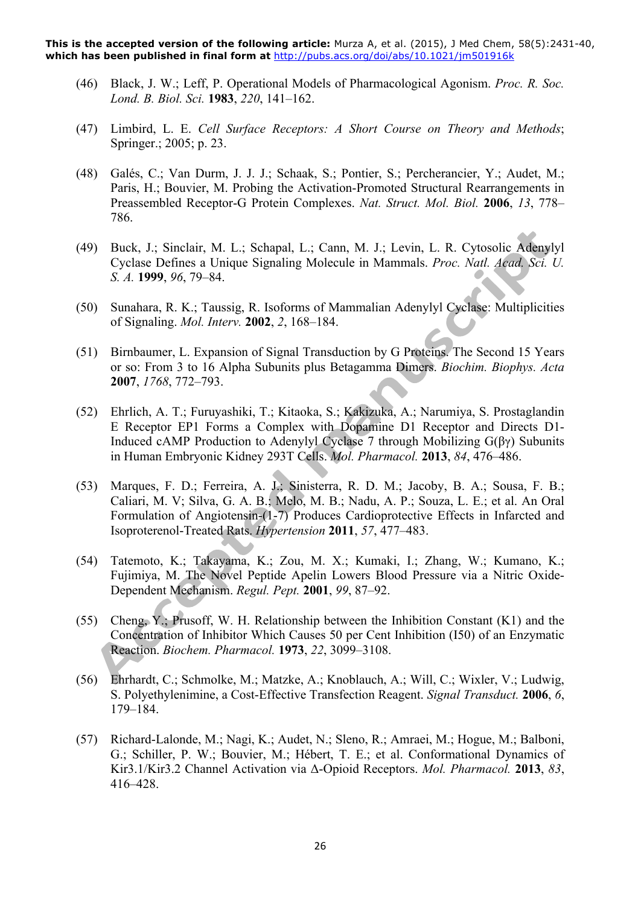- (46) Black, J. W.; Leff, P. Operational Models of Pharmacological Agonism. *Proc. R. Soc. Lond. B. Biol. Sci.* **1983**, *220*, 141–162.
- (47) Limbird, L. E. *Cell Surface Receptors: A Short Course on Theory and Methods*; Springer.; 2005; p. 23.
- (48) Galés, C.; Van Durm, J. J. J.; Schaak, S.; Pontier, S.; Percherancier, Y.; Audet, M.; Paris, H.; Bouvier, M. Probing the Activation-Promoted Structural Rearrangements in Preassembled Receptor-G Protein Complexes. *Nat. Struct. Mol. Biol.* **2006**, *13*, 778– 786.
- (49) Buck, J.; Sinclair, M. L.; Schapal, L.; Cann, M. J.; Levin, L. R. Cytosolic Adenylyl Cyclase Defines a Unique Signaling Molecule in Mammals. *Proc. Natl. Acad. Sci. U. S. A.* **1999**, *96*, 79–84.
- (50) Sunahara, R. K.; Taussig, R. Isoforms of Mammalian Adenylyl Cyclase: Multiplicities of Signaling. *Mol. Interv.* **2002**, *2*, 168–184.
- (51) Birnbaumer, L. Expansion of Signal Transduction by G Proteins. The Second 15 Years or so: From 3 to 16 Alpha Subunits plus Betagamma Dimers. *Biochim. Biophys. Acta* **2007**, *1768*, 772–793.
- (52) Ehrlich, A. T.; Furuyashiki, T.; Kitaoka, S.; Kakizuka, A.; Narumiya, S. Prostaglandin E Receptor EP1 Forms a Complex with Dopamine D1 Receptor and Directs D1- Induced cAMP Production to Adenylyl Cyclase 7 through Mobilizing G(βγ) Subunits in Human Embryonic Kidney 293T Cells. *Mol. Pharmacol.* **2013**, *84*, 476–486.
- (53) Marques, F. D.; Ferreira, A. J.; Sinisterra, R. D. M.; Jacoby, B. A.; Sousa, F. B.; Caliari, M. V; Silva, G. A. B.; Melo, M. B.; Nadu, A. P.; Souza, L. E.; et al. An Oral Formulation of Angiotensin-(1-7) Produces Cardioprotective Effects in Infarcted and Isoproterenol-Treated Rats. *Hypertension* **2011**, *57*, 477–483.
- (54) Tatemoto, K.; Takayama, K.; Zou, M. X.; Kumaki, I.; Zhang, W.; Kumano, K.; Fujimiya, M. The Novel Peptide Apelin Lowers Blood Pressure via a Nitric Oxide-Dependent Mechanism. *Regul. Pept.* **2001**, *99*, 87–92.
- (55) Cheng, Y.; Prusoff, W. H. Relationship between the Inhibition Constant (K1) and the Concentration of Inhibitor Which Causes 50 per Cent Inhibition (I50) of an Enzymatic Reaction. *Biochem. Pharmacol.* **1973**, *22*, 3099–3108.
- (56) Ehrhardt, C.; Schmolke, M.; Matzke, A.; Knoblauch, A.; Will, C.; Wixler, V.; Ludwig, S. Polyethylenimine, a Cost-Effective Transfection Reagent. *Signal Transduct.* **2006**, *6*, 179–184.
- (57) Richard-Lalonde, M.; Nagi, K.; Audet, N.; Sleno, R.; Amraei, M.; Hogue, M.; Balboni, G.; Schiller, P. W.; Bouvier, M.; Hébert, T. E.; et al. Conformational Dynamics of Kir3.1/Kir3.2 Channel Activation via Δ-Opioid Receptors. *Mol. Pharmacol.* **2013**, *83*, 416–428.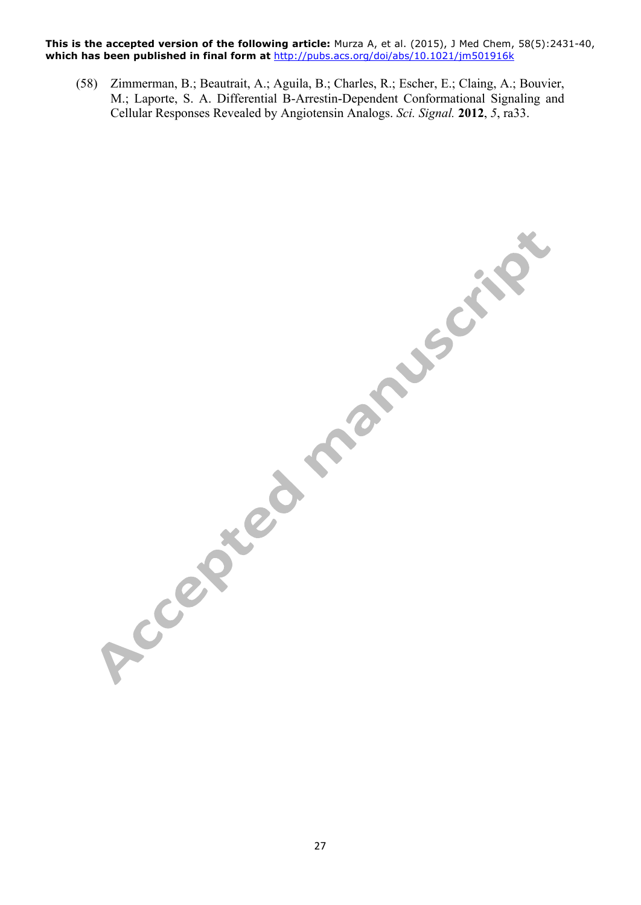(58) Zimmerman, B.; Beautrait, A.; Aguila, B.; Charles, R.; Escher, E.; Claing, A.; Bouvier, M.; Laporte, S. A. Differential Β-Arrestin-Dependent Conformational Signaling and Cellular Responses Revealed by Angiotensin Analogs. *Sci. Signal.* **2012**, *5*, ra33.

Accepted manuscript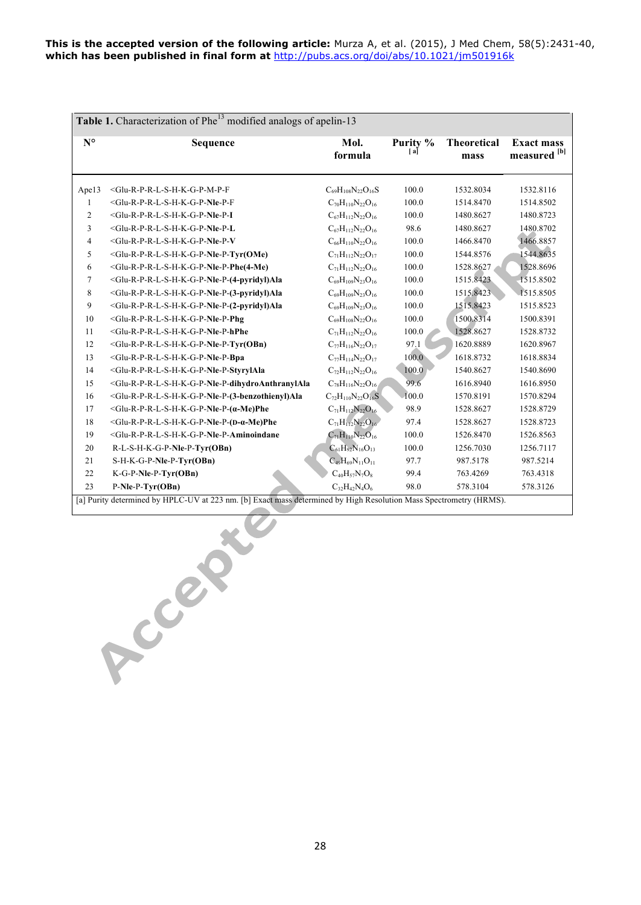| Table 1. Characterization of Phe <sup>13</sup> modified analogs of apelin-13                                       |                                                                                                                                                                                                               |                              |                 |                            |                                   |
|--------------------------------------------------------------------------------------------------------------------|---------------------------------------------------------------------------------------------------------------------------------------------------------------------------------------------------------------|------------------------------|-----------------|----------------------------|-----------------------------------|
| $N^{\circ}$                                                                                                        | Sequence                                                                                                                                                                                                      | Mol.<br>formula              | Purity %<br>[a] | <b>Theoretical</b><br>mass | <b>Exact mass</b><br>measured [b] |
| Ape13                                                                                                              | <glu-r-p-r-l-s-h-k-g-p-m-p-f< td=""><td><math>C_{69}H_{108}N_{22}O_{16}S</math></td><td>100.0</td><td>1532.8034</td><td>1532.8116</td></glu-r-p-r-l-s-h-k-g-p-m-p-f<>                                         | $C_{69}H_{108}N_{22}O_{16}S$ | 100.0           | 1532.8034                  | 1532.8116                         |
| 1                                                                                                                  | <glu-r-p-r-l-s-h-k-g-p-nle-p-f< td=""><td><math>C_{70}H_{110}N_{22}O_{16}</math></td><td>100.0</td><td>1514.8470</td><td>1514.8502</td></glu-r-p-r-l-s-h-k-g-p-nle-p-f<>                                      | $C_{70}H_{110}N_{22}O_{16}$  | 100.0           | 1514.8470                  | 1514.8502                         |
| 2                                                                                                                  | <glu-r-p-r-l-s-h-k-g-p-nle-p-i< td=""><td><math>C_{67}H_{112}N_{22}O_{16}</math></td><td>100.0</td><td>1480.8627</td><td>1480.8723</td></glu-r-p-r-l-s-h-k-g-p-nle-p-i<>                                      | $C_{67}H_{112}N_{22}O_{16}$  | 100.0           | 1480.8627                  | 1480.8723                         |
| 3                                                                                                                  | <glu-r-p-r-l-s-h-k-g-p-nle-p-l< td=""><td><math>C_{67}H_{112}N_{22}O_{16}</math></td><td>98.6</td><td>1480.8627</td><td>1480.8702</td></glu-r-p-r-l-s-h-k-g-p-nle-p-l<>                                       | $C_{67}H_{112}N_{22}O_{16}$  | 98.6            | 1480.8627                  | 1480.8702                         |
| 4                                                                                                                  | <glu-r-p-r-l-s-h-k-g-p-nle-p-v< td=""><td><math>C_{66}H_{110}N_{22}O_{16}</math></td><td>100.0</td><td>1466.8470</td><td>1466.8857</td></glu-r-p-r-l-s-h-k-g-p-nle-p-v<>                                      | $C_{66}H_{110}N_{22}O_{16}$  | 100.0           | 1466.8470                  | 1466.8857                         |
| 5                                                                                                                  | <glu-r-p-r-l-s-h-k-g-p-nle-p-tyr(ome)< td=""><td><math>C_{71}H_{112}N_{22}O_{17}</math></td><td>100.0</td><td>1544.8576</td><td>1544.8635</td></glu-r-p-r-l-s-h-k-g-p-nle-p-tyr(ome)<>                        | $C_{71}H_{112}N_{22}O_{17}$  | 100.0           | 1544.8576                  | 1544.8635                         |
| 6                                                                                                                  | <glu-r-p-r-l-s-h-k-g-p-nle-p-phe(4-me)< td=""><td><math>C_{71}H_{112}N_{22}O_{16}</math></td><td>100.0</td><td>1528.8627</td><td>1528.8696</td></glu-r-p-r-l-s-h-k-g-p-nle-p-phe(4-me)<>                      | $C_{71}H_{112}N_{22}O_{16}$  | 100.0           | 1528.8627                  | 1528.8696                         |
| 7                                                                                                                  | <glu-r-p-r-l-s-h-k-g-p-nle-p-(4-pyridyl)ala< td=""><td><math>C_{69}H_{109}N_{23}O_{16}</math></td><td>100.0</td><td>1515.8423</td><td>1515.8502</td></glu-r-p-r-l-s-h-k-g-p-nle-p-(4-pyridyl)ala<>            | $C_{69}H_{109}N_{23}O_{16}$  | 100.0           | 1515.8423                  | 1515.8502                         |
| 8                                                                                                                  | <glu-r-p-r-l-s-h-k-g-p-nle-p-(3-pyridyl)ala< td=""><td><math>C_{69}H_{109}N_{23}O_{16}</math></td><td>100.0</td><td>1515.8423</td><td>1515.8505</td></glu-r-p-r-l-s-h-k-g-p-nle-p-(3-pyridyl)ala<>            | $C_{69}H_{109}N_{23}O_{16}$  | 100.0           | 1515.8423                  | 1515.8505                         |
| 9                                                                                                                  | <glu-r-p-r-l-s-h-k-g-p-nle-p-(2-pyridyl)ala< td=""><td><math>C_{69}H_{109}N_{23}O_{16}</math></td><td>100.0</td><td>1515.8423</td><td>1515.8523</td></glu-r-p-r-l-s-h-k-g-p-nle-p-(2-pyridyl)ala<>            | $C_{69}H_{109}N_{23}O_{16}$  | 100.0           | 1515.8423                  | 1515.8523                         |
| 10                                                                                                                 | <glu-r-p-r-l-s-h-k-g-p-nle-p-phg< td=""><td><math>C_{69}H_{108}N_{22}O_{16}</math></td><td>100.0</td><td>1500.8314</td><td>1500.8391</td></glu-r-p-r-l-s-h-k-g-p-nle-p-phg<>                                  | $C_{69}H_{108}N_{22}O_{16}$  | 100.0           | 1500.8314                  | 1500.8391                         |
| 11                                                                                                                 | <glu-r-p-r-l-s-h-k-g-p-nle-p-hphe< td=""><td><math>C_{71}H_{112}N_{22}O_{16}</math></td><td>100.0</td><td>1528.8627</td><td>1528.8732</td></glu-r-p-r-l-s-h-k-g-p-nle-p-hphe<>                                | $C_{71}H_{112}N_{22}O_{16}$  | 100.0           | 1528.8627                  | 1528.8732                         |
| 12                                                                                                                 | <glu-r-p-r-l-s-h-k-g-p-nle-p-tyr(obn)< td=""><td><math>C_{77}H_{116}N_{22}O_{17}</math></td><td>97.1</td><td>1620.8889</td><td>1620.8967</td></glu-r-p-r-l-s-h-k-g-p-nle-p-tyr(obn)<>                         | $C_{77}H_{116}N_{22}O_{17}$  | 97.1            | 1620.8889                  | 1620.8967                         |
| 13                                                                                                                 | <glu-r-p-r-l-s-h-k-g-p-nle-p-bpa< td=""><td><math>C_{77}H_{114}N_{22}O_{17}</math></td><td>100.0</td><td>1618.8732</td><td>1618.8834</td></glu-r-p-r-l-s-h-k-g-p-nle-p-bpa<>                                  | $C_{77}H_{114}N_{22}O_{17}$  | 100.0           | 1618.8732                  | 1618.8834                         |
| 14                                                                                                                 | <glu-r-p-r-l-s-h-k-g-p-nle-p-styrylala< td=""><td><math>C_{72}H_{112}N_{22}O_{16}</math></td><td>100.0</td><td>1540.8627</td><td>1540.8690</td></glu-r-p-r-l-s-h-k-g-p-nle-p-styrylala<>                      | $C_{72}H_{112}N_{22}O_{16}$  | 100.0           | 1540.8627                  | 1540.8690                         |
| 15                                                                                                                 | <glu-r-p-r-l-s-h-k-g-p-nle-p-dihydroanthranylala< td=""><td><math>C_{78}H_{116}N_{22}O_{16}</math></td><td>99.6</td><td>1616.8940</td><td>1616.8950</td></glu-r-p-r-l-s-h-k-g-p-nle-p-dihydroanthranylala<>   | $C_{78}H_{116}N_{22}O_{16}$  | 99.6            | 1616.8940                  | 1616.8950                         |
| 16                                                                                                                 | <glu-r-p-r-l-s-h-k-g-p-nle-p-(3-benzothienyl)ala< td=""><td><math>C_{72}H_{110}N_{22}O_{16}S</math></td><td>100.0</td><td>1570.8191</td><td>1570.8294</td></glu-r-p-r-l-s-h-k-g-p-nle-p-(3-benzothienyl)ala<> | $C_{72}H_{110}N_{22}O_{16}S$ | 100.0           | 1570.8191                  | 1570.8294                         |
| 17                                                                                                                 | <glu-r-p-r-l-s-h-k-g-p-nle-p-(α-me)phe< td=""><td><math>C_{71}H_{112}N_{22}O_{16}</math></td><td>98.9</td><td>1528.8627</td><td>1528.8729</td></glu-r-p-r-l-s-h-k-g-p-nle-p-(α-me)phe<>                       | $C_{71}H_{112}N_{22}O_{16}$  | 98.9            | 1528.8627                  | 1528.8729                         |
| 18                                                                                                                 | <glu-r-p-r-l-s-h-k-g-p-nle-p-(d-α-me)phe< td=""><td><math>C_{71}H_{112}N_{22}O_{16}</math></td><td>97.4</td><td>1528.8627</td><td>1528.8723</td></glu-r-p-r-l-s-h-k-g-p-nle-p-(d-α-me)phe<>                   | $C_{71}H_{112}N_{22}O_{16}$  | 97.4            | 1528.8627                  | 1528.8723                         |
| 19                                                                                                                 | <glu-r-p-r-l-s-h-k-g-p-nle-p-aminoindane< td=""><td><math>C_{71}H_{110}N_{22}O_{16}</math></td><td>100.0</td><td>1526.8470</td><td>1526.8563</td></glu-r-p-r-l-s-h-k-g-p-nle-p-aminoindane<>                  | $C_{71}H_{110}N_{22}O_{16}$  | 100.0           | 1526.8470                  | 1526.8563                         |
| 20                                                                                                                 | R-L-S-H-K-G-P-Nle-P-Tyr(OBn)                                                                                                                                                                                  | $C_{61}H_{92}N_{16}O_{13}$   | 100.0           | 1256.7030                  | 1256.7117                         |
| 21                                                                                                                 | S-H-K-G-P-Nle-P-Tyr(OBn)                                                                                                                                                                                      | $C_{49}H_{69}N_{11}O_{11}$   | 97.7            | 987.5178                   | 987.5214                          |
| 22                                                                                                                 | K-G-P-Nle-P-Tyr(OBn)                                                                                                                                                                                          | $C_{40}H_{57}N_7O_8$         | 99.4            | 763.4269                   | 763.4318                          |
| 23                                                                                                                 | P-Nle-P-Tyr(OBn)                                                                                                                                                                                              | $C_{32}H_{42}N_4O_6$         | 98.0            | 578.3104                   | 578.3126                          |
| [a] Purity determined by HPLC-UV at 223 nm. [b] Exact mass determined by High Resolution Mass Spectrometry (HRMS). |                                                                                                                                                                                                               |                              |                 |                            |                                   |

 $\mathsf{L}$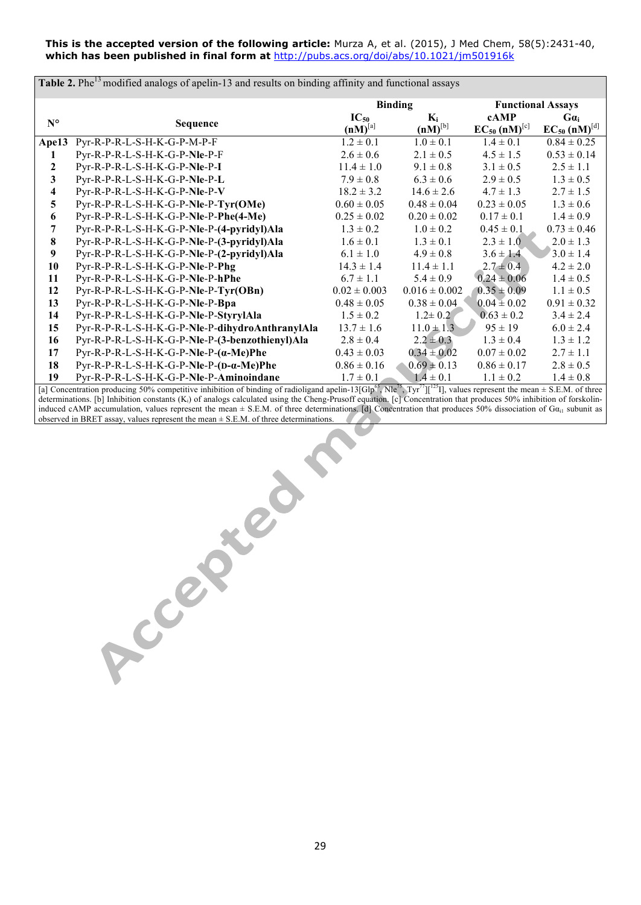| Table 2. Phe <sup>13</sup> modified analogs of apelin-13 and results on binding affinity and functional assays |                                                 |                           |                                                                      |                              |                                                              |  |
|----------------------------------------------------------------------------------------------------------------|-------------------------------------------------|---------------------------|----------------------------------------------------------------------|------------------------------|--------------------------------------------------------------|--|
|                                                                                                                |                                                 | <b>Binding</b>            |                                                                      | <b>Functional Assays</b>     |                                                              |  |
| $N^{\circ}$                                                                                                    | Sequence                                        | $IC_{50}$<br>$(nM)^{[a]}$ | $\mathbf{K}_{\mathbf{i}}$<br>$\underline{\mathbf{(n)}}^{\text{[b]}}$ | cAMP<br>$EC_{50} (nM)^{[c]}$ | $Ga_i$<br>$\underline{\mathrm{EC}_{50}}$ (nM) <sup>[d]</sup> |  |
| Ape13                                                                                                          | Pyr-R-P-R-L-S-H-K-G-P-M-P-F                     | $1.2 \pm 0.1$             | $1.0 \pm 0.1$                                                        | $1.4 \pm 0.1$                | $0.84 \pm 0.25$                                              |  |
| 1                                                                                                              | Pyr-R-P-R-L-S-H-K-G-P-Nle-P-F                   | $2.6 \pm 0.6$             | $2.1 \pm 0.5$                                                        | $4.5 \pm 1.5$                | $0.53 \pm 0.14$                                              |  |
| 2                                                                                                              | Pyr-R-P-R-L-S-H-K-G-P-Nle-P-I                   | $11.4 \pm 1.0$            | $9.1 \pm 0.8$                                                        | $3.1 \pm 0.5$                | $2.5 \pm 1.1$                                                |  |
| 3                                                                                                              | Pyr-R-P-R-L-S-H-K-G-P-Nle-P-L                   | $7.9 \pm 0.8$             | $6.3 \pm 0.6$                                                        | $2.9 \pm 0.5$                | $1.3 \pm 0.5$                                                |  |
| $\overline{\mathbf{4}}$                                                                                        | Pyr-R-P-R-L-S-H-K-G-P-Nle-P-V                   | $18.2 \pm 3.2$            | $14.6 \pm 2.6$                                                       | $4.7 \pm 1.3$                | $2.7 \pm 1.5$                                                |  |
| 5                                                                                                              | Pyr-R-P-R-L-S-H-K-G-P-Nle-P-Tyr(OMe)            | $0.60 \pm 0.05$           | $0.48 \pm 0.04$                                                      | $0.23 \pm 0.05$              | $1.3 \pm 0.6$                                                |  |
| 6                                                                                                              | Pyr-R-P-R-L-S-H-K-G-P-Nle-P-Phe(4-Me)           | $0.25 \pm 0.02$           | $0.20 \pm 0.02$                                                      | $0.17 \pm 0.1$               | $1.4 \pm 0.9$                                                |  |
| 7                                                                                                              | Pyr-R-P-R-L-S-H-K-G-P-Nle-P-(4-pyridyl)Ala      | $1.3 \pm 0.2$             | $1.0 \pm 0.2$                                                        | $0.45 \pm 0.1$               | $0.73 \pm 0.46$                                              |  |
| 8                                                                                                              | Pyr-R-P-R-L-S-H-K-G-P-Nle-P-(3-pyridyl)Ala      | $1.6 \pm 0.1$             | $1.3 \pm 0.1$                                                        | $2.3 \pm 1.0$                | $2.0 \pm 1.3$                                                |  |
| 9                                                                                                              | Pyr-R-P-R-L-S-H-K-G-P-Nle-P-(2-pyridyl)Ala      | $6.1 \pm 1.0$             | $4.9 \pm 0.8$                                                        | $3.6 \pm 1.4$                | $3.0 \pm 1.4$                                                |  |
| 10                                                                                                             | Pyr-R-P-R-L-S-H-K-G-P-Nle-P-Phg                 | $14.3 \pm 1.4$            | $11.4 \pm 1.1$                                                       | $2.7 \pm 0.4$                | $4.2 \pm 2.0$                                                |  |
| 11                                                                                                             | Pyr-R-P-R-L-S-H-K-G-P-Nle-P-hPhe                | $6.7 \pm 1.1$             | $5.4 \pm 0.9$                                                        | $0.24 \pm 0.06$              | $1.4 \pm 0.5$                                                |  |
| 12                                                                                                             | Pyr-R-P-R-L-S-H-K-G-P-Nle-P-Tyr(OBn)            | $0.02 \pm 0.003$          | $0.016 \pm 0.002$                                                    | $0.35 \pm 0.09$              | $1.1 \pm 0.5$                                                |  |
| 13                                                                                                             | Pyr-R-P-R-L-S-H-K-G-P-Nle-P-Bpa                 | $0.48 \pm 0.05$           | $0.38 \pm 0.04$                                                      | $0.04 \pm 0.02$              | $0.91 \pm 0.32$                                              |  |
| 14                                                                                                             | Pyr-R-P-R-L-S-H-K-G-P-Nle-P-StyrylAla           | $1.5 \pm 0.2$             | $1.2 \pm 0.2$                                                        | $0.63 \pm 0.2$               | $3.4 \pm 2.4$                                                |  |
| 15                                                                                                             | Pyr-R-P-R-L-S-H-K-G-P-Nle-P-dihydroAnthranylAla | $13.7 \pm 1.6$            | $11.0 \pm 1.3$                                                       | $95 \pm 19$                  | $6.0 \pm 2.4$                                                |  |
| 16                                                                                                             | Pyr-R-P-R-L-S-H-K-G-P-Nle-P-(3-benzothienyl)Ala | $2.8 \pm 0.4$             | $2.2 \pm 0.3$                                                        | $1.3 \pm 0.4$                | $1.3 \pm 1.2$                                                |  |
| 17                                                                                                             | Pyr-R-P-R-L-S-H-K-G-P-Nle-P-(a-Me)Phe           | $0.43 \pm 0.03$           | $0.34 \pm 0.02$                                                      | $0.07 \pm 0.02$              | $2.7 \pm 1.1$                                                |  |
| 18                                                                                                             | Pyr-R-P-R-L-S-H-K-G-P-Nle-P-(D-α-Me)Phe         | $0.86 \pm 0.16$           | $0.69 \pm 0.13$                                                      | $0.86 \pm 0.17$              | $2.8 \pm 0.5$                                                |  |
| 19                                                                                                             | Pyr-R-P-R-L-S-H-K-G-P-Nle-P-Aminoindane         | $1.7 \pm 0.1$             | $1.4 \pm 0.1$                                                        | $1.1 \pm 0.2$                | $1.4 \pm 0.8$                                                |  |

**19** Pyr-R-P-R-L-S-H-K-G-P-**Nle**-P-**Aminoindane** 1.7 ± 0.1 1.4 ± 0.1 1.1 ± 0.2 1.4 ± 0.8 [a] Concentration producing 50% competitive inhibition of binding of radioligand apelin-13[Glp<sup>65</sup>, Nle<sup>75</sup>, Tyr<sup>77</sup>][<sup>125</sup>]], values represent the mean  $\pm$  S.E.M. of three determinations. [b] Inhibition constants (Ki) of analogs calculated using the Cheng-Prusoff equation. [c] Concentration that produces 50% inhibition of forskolininduced cAMP accumulation, values represent the mean  $\pm$  S.E.M. of three determinations. [d] Concentration that produces 50% dissociation of G $\alpha_{i1}$  subunit as observed in BRET assay, values represent the mean ± S.E.M. of three determinations.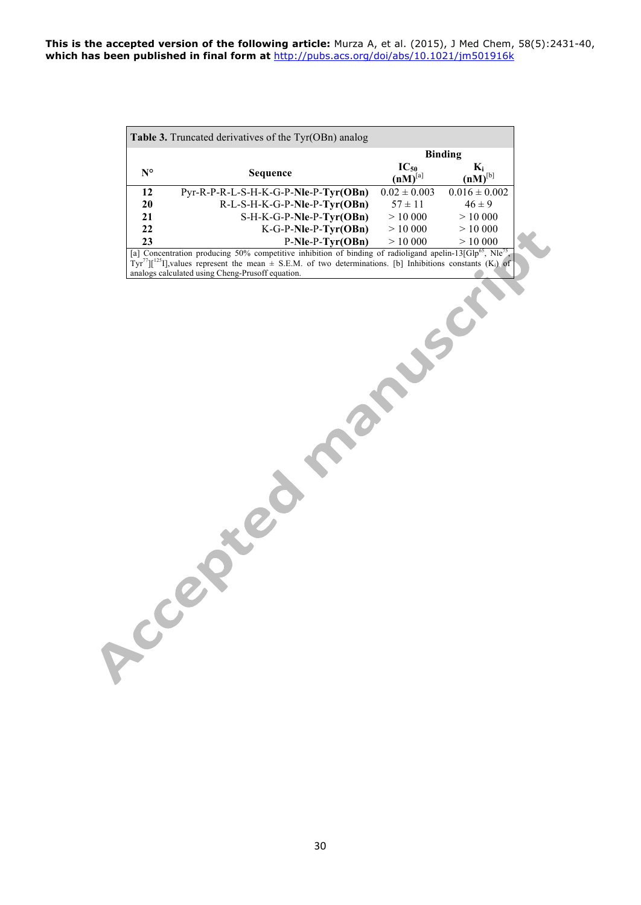|                                                                                                                                                                                                     | <b>Table 3.</b> Truncated derivatives of the Tyr(OBn) analog | <b>Binding</b>            |                    |  |  |
|-----------------------------------------------------------------------------------------------------------------------------------------------------------------------------------------------------|--------------------------------------------------------------|---------------------------|--------------------|--|--|
| $N^{\circ}$                                                                                                                                                                                         | <b>Sequence</b>                                              | $IC_{50}$<br>$(nM)^{[a]}$ | K:<br>$(nM)^{[b]}$ |  |  |
| 12                                                                                                                                                                                                  | $Pyr-R-P-R-L-S-H-K-G-P-Nle-P-Tyr(OBn)$                       | $0.02 \pm 0.003$          | $0.016 \pm 0.002$  |  |  |
| 20                                                                                                                                                                                                  | R-L-S-H-K-G-P-Nle-P-Tyr(OBn)                                 | $57 \pm 11$               | $46 \pm 9$         |  |  |
| 21                                                                                                                                                                                                  | S-H-K-G-P-Nle-P-Tyr(OBn)                                     | > 10000                   | >10000             |  |  |
| 22                                                                                                                                                                                                  | K-G-P-Nle-P-Tyr(OBn)                                         | > 10000                   | >10000             |  |  |
| 23                                                                                                                                                                                                  | $P-Nle-P-Tyr(OBn)$                                           | >10000                    | > 10000            |  |  |
| [a] Concentration producing 50% competitive inhibition of binding of radioligand apelin-13[Glp <sup>65</sup> , Nle <sup>75</sup> ,                                                                  |                                                              |                           |                    |  |  |
| $\text{TyT}^7$ [ $\text{Li}^2$ ]], values represent the mean $\pm$ S.E.M. of two determinations. [b] Inhibitions constants (K <sub>i</sub> ) of<br>analogs calculated using Cheng-Prusoff equation. |                                                              |                           |                    |  |  |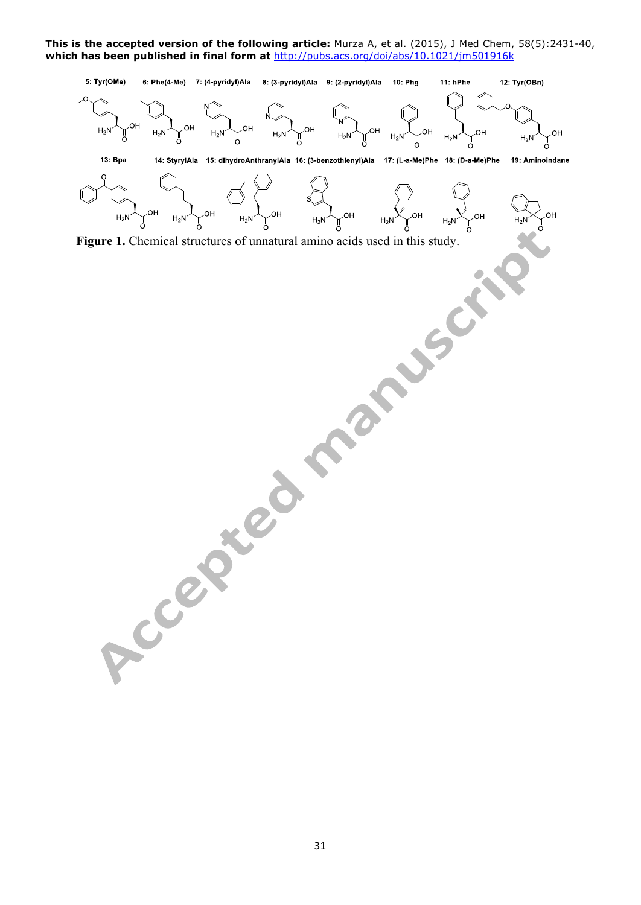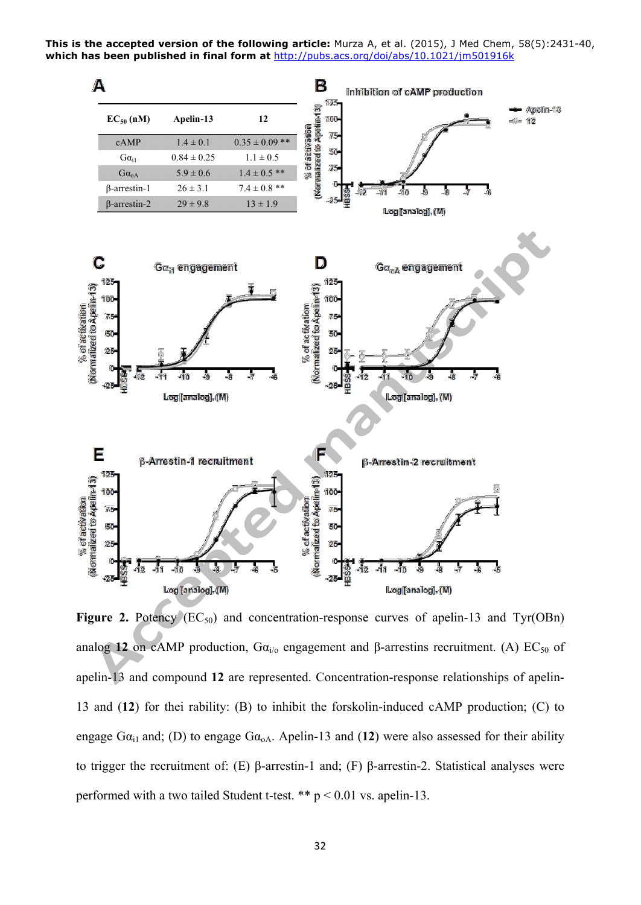

**Figure 2.** Potency  $(EC_{50})$  and concentration-response curves of apelin-13 and Tyr(OBn) analog **12** on cAMP production,  $Gα<sub>i</sub>$  engagement and β-arrestins recruitment. (A) EC<sub>50</sub> of apelin-13 and compound **12** are represented. Concentration-response relationships of apelin-13 and (**12**) for thei rability: (B) to inhibit the forskolin-induced cAMP production; (C) to engage  $Ga_{i1}$  and; (D) to engage  $Ga_{oA}$ . Apelin-13 and (12) were also assessed for their ability to trigger the recruitment of: (E) β-arrestin-1 and; (F) β-arrestin-2. Statistical analyses were performed with a two tailed Student t-test. \*\*  $p < 0.01$  vs. apelin-13.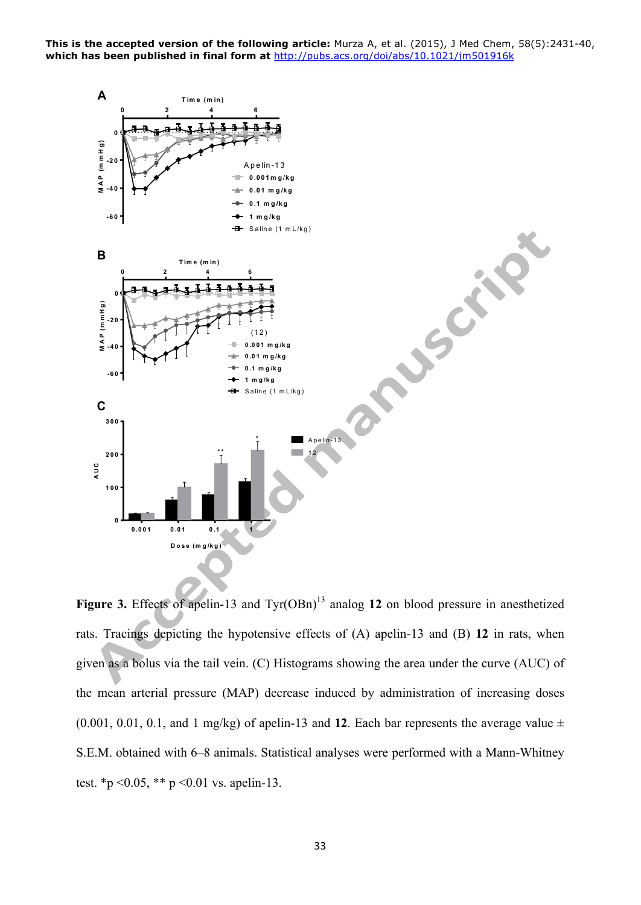

**Figure 3.** Effects of apelin-13 and  $Tyr(OBn)^{13}$  analog 12 on blood pressure in anesthetized rats. Tracings depicting the hypotensive effects of (A) apelin-13 and (B) **12** in rats, when given as a bolus via the tail vein. (C) Histograms showing the area under the curve (AUC) of the mean arterial pressure (MAP) decrease induced by administration of increasing doses (0.001, 0.01, 0.1, and 1 mg/kg) of apelin-13 and 12. Each bar represents the average value  $\pm$ S.E.M. obtained with 6–8 animals. Statistical analyses were performed with a Mann-Whitney test. \*p < 0.05, \*\* p < 0.01 vs. apelin-13.